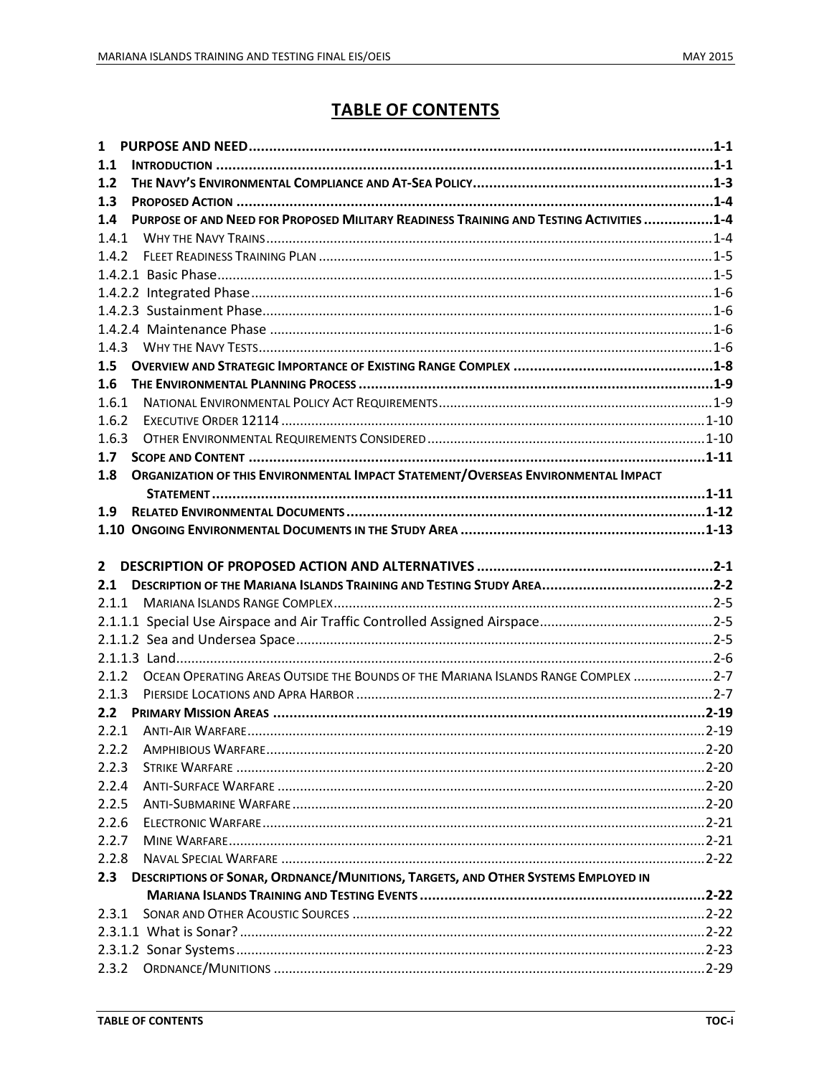# **TABLE OF CONTENTS**

| $\mathbf{1}$ |                                                                                         |  |
|--------------|-----------------------------------------------------------------------------------------|--|
| 1.1          |                                                                                         |  |
| $1.2$        |                                                                                         |  |
| 1.3          |                                                                                         |  |
| 1.4          | PURPOSE OF AND NEED FOR PROPOSED MILITARY READINESS TRAINING AND TESTING ACTIVITIES 1-4 |  |
| 1.4.1        |                                                                                         |  |
|              |                                                                                         |  |
|              |                                                                                         |  |
|              |                                                                                         |  |
|              |                                                                                         |  |
|              |                                                                                         |  |
|              |                                                                                         |  |
|              |                                                                                         |  |
| 1.6          |                                                                                         |  |
| 1.6.1        |                                                                                         |  |
| 1.6.2        |                                                                                         |  |
| 1.6.3        |                                                                                         |  |
| 1.7          |                                                                                         |  |
| 1.8          | ORGANIZATION OF THIS ENVIRONMENTAL IMPACT STATEMENT/OVERSEAS ENVIRONMENTAL IMPACT       |  |
|              |                                                                                         |  |
| 1.9          |                                                                                         |  |
|              |                                                                                         |  |
|              |                                                                                         |  |
|              |                                                                                         |  |
|              |                                                                                         |  |
| 2.1          |                                                                                         |  |
|              |                                                                                         |  |
|              |                                                                                         |  |
|              |                                                                                         |  |
|              |                                                                                         |  |
|              | 2.1.2 OCEAN OPERATING AREAS OUTSIDE THE BOUNDS OF THE MARIANA ISLANDS RANGE COMPLEX 2-7 |  |
|              |                                                                                         |  |
|              |                                                                                         |  |
|              |                                                                                         |  |
|              |                                                                                         |  |
| 2.2.3        |                                                                                         |  |
| 2.2.4        |                                                                                         |  |
| 2.2.5        |                                                                                         |  |
| 2.2.6        |                                                                                         |  |
| 2.2.7        |                                                                                         |  |
| 2.2.8        |                                                                                         |  |
|              | 2.3 DESCRIPTIONS OF SONAR, ORDNANCE/MUNITIONS, TARGETS, AND OTHER SYSTEMS EMPLOYED IN   |  |
|              |                                                                                         |  |
| 2.3.1        |                                                                                         |  |
|              |                                                                                         |  |
| 2.3.2        |                                                                                         |  |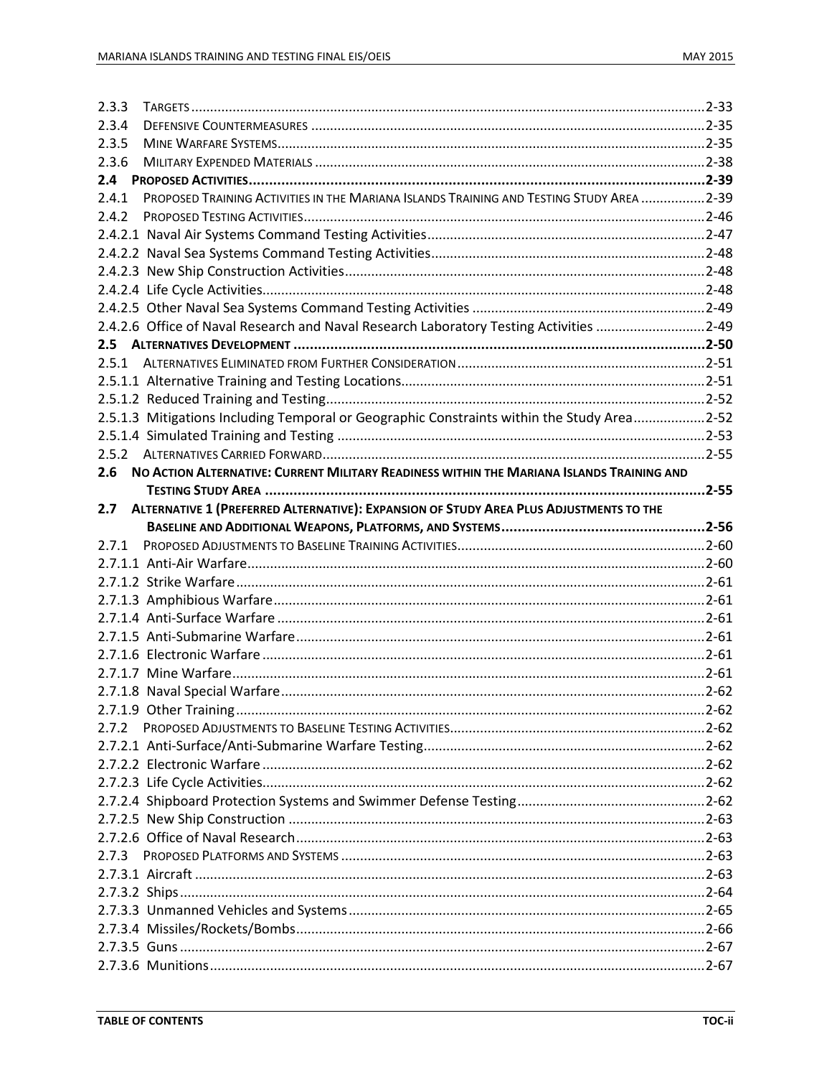| 2.3.3 |                                                                                            |  |
|-------|--------------------------------------------------------------------------------------------|--|
| 2.3.4 |                                                                                            |  |
| 2.3.5 |                                                                                            |  |
| 2.3.6 |                                                                                            |  |
|       |                                                                                            |  |
| 2.4.1 | PROPOSED TRAINING ACTIVITIES IN THE MARIANA ISLANDS TRAINING AND TESTING STUDY AREA 2-39   |  |
| 2.4.2 |                                                                                            |  |
|       |                                                                                            |  |
|       |                                                                                            |  |
|       |                                                                                            |  |
|       |                                                                                            |  |
|       |                                                                                            |  |
|       | 2.4.2.6 Office of Naval Research and Naval Research Laboratory Testing Activities 2-49     |  |
|       |                                                                                            |  |
|       |                                                                                            |  |
|       |                                                                                            |  |
|       |                                                                                            |  |
|       |                                                                                            |  |
|       | 2.5.1.3 Mitigations Including Temporal or Geographic Constraints within the Study Area2-52 |  |
|       |                                                                                            |  |
|       |                                                                                            |  |
| 2.6   | NO ACTION ALTERNATIVE: CURRENT MILITARY READINESS WITHIN THE MARIANA ISLANDS TRAINING AND  |  |
|       |                                                                                            |  |
| 2.7   | ALTERNATIVE 1 (PREFERRED ALTERNATIVE): EXPANSION OF STUDY AREA PLUS ADJUSTMENTS TO THE     |  |
|       |                                                                                            |  |
|       |                                                                                            |  |
| 2.7.1 |                                                                                            |  |
|       |                                                                                            |  |
|       |                                                                                            |  |
|       |                                                                                            |  |
|       |                                                                                            |  |
|       |                                                                                            |  |
|       |                                                                                            |  |
|       |                                                                                            |  |
|       |                                                                                            |  |
|       |                                                                                            |  |
|       |                                                                                            |  |
|       |                                                                                            |  |
|       |                                                                                            |  |
|       |                                                                                            |  |
|       |                                                                                            |  |
|       |                                                                                            |  |
|       |                                                                                            |  |
|       |                                                                                            |  |
| 2.7.3 |                                                                                            |  |
|       |                                                                                            |  |
|       |                                                                                            |  |
|       |                                                                                            |  |
|       |                                                                                            |  |
|       |                                                                                            |  |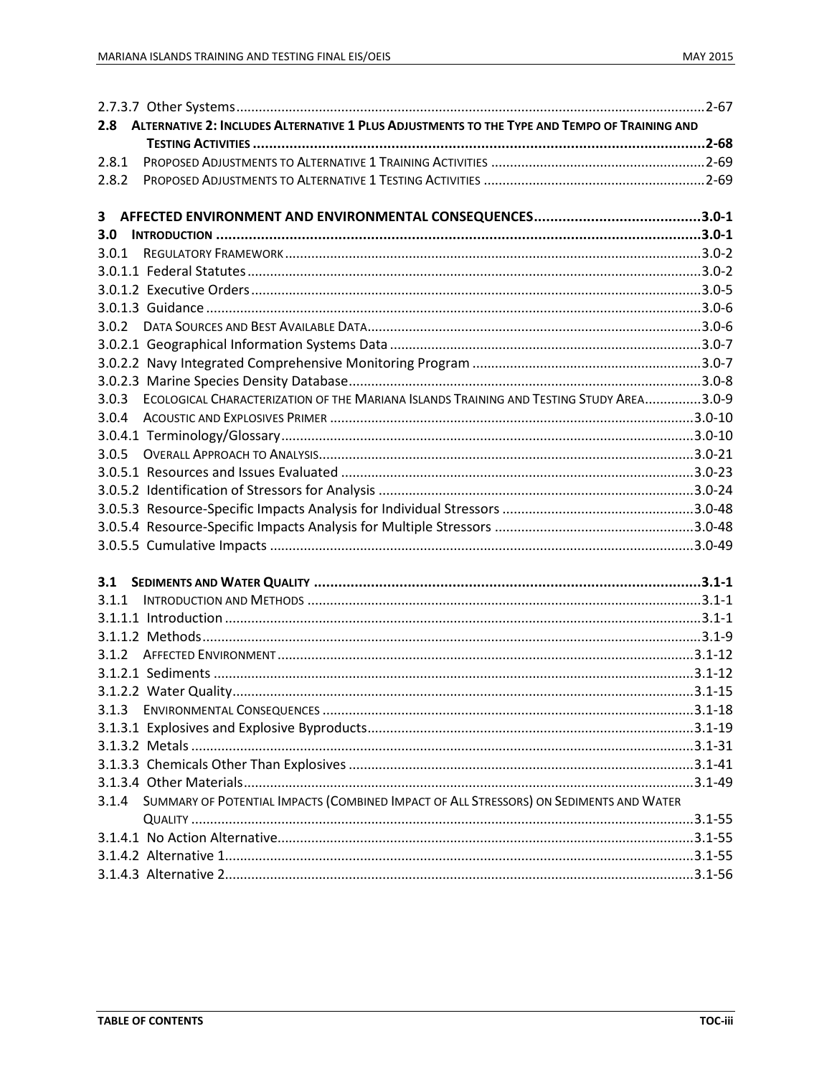| 2.8 ALTERNATIVE 2: INCLUDES ALTERNATIVE 1 PLUS ADJUSTMENTS TO THE TYPE AND TEMPO OF TRAINING AND |  |
|--------------------------------------------------------------------------------------------------|--|
|                                                                                                  |  |
| 2.8.1                                                                                            |  |
| 2.8.2                                                                                            |  |
|                                                                                                  |  |
|                                                                                                  |  |
|                                                                                                  |  |
| 3.0.1                                                                                            |  |
|                                                                                                  |  |
|                                                                                                  |  |
|                                                                                                  |  |
|                                                                                                  |  |
|                                                                                                  |  |
|                                                                                                  |  |
|                                                                                                  |  |
| ECOLOGICAL CHARACTERIZATION OF THE MARIANA ISLANDS TRAINING AND TESTING STUDY AREA3.0-9<br>3.0.3 |  |
| 3.0.4                                                                                            |  |
|                                                                                                  |  |
|                                                                                                  |  |
|                                                                                                  |  |
|                                                                                                  |  |
|                                                                                                  |  |
|                                                                                                  |  |
|                                                                                                  |  |
|                                                                                                  |  |
|                                                                                                  |  |
|                                                                                                  |  |
|                                                                                                  |  |
|                                                                                                  |  |
|                                                                                                  |  |
|                                                                                                  |  |
|                                                                                                  |  |
| 3.1.3                                                                                            |  |
|                                                                                                  |  |
|                                                                                                  |  |
|                                                                                                  |  |
|                                                                                                  |  |
| SUMMARY OF POTENTIAL IMPACTS (COMBINED IMPACT OF ALL STRESSORS) ON SEDIMENTS AND WATER<br>3.1.4  |  |
|                                                                                                  |  |
|                                                                                                  |  |
|                                                                                                  |  |
|                                                                                                  |  |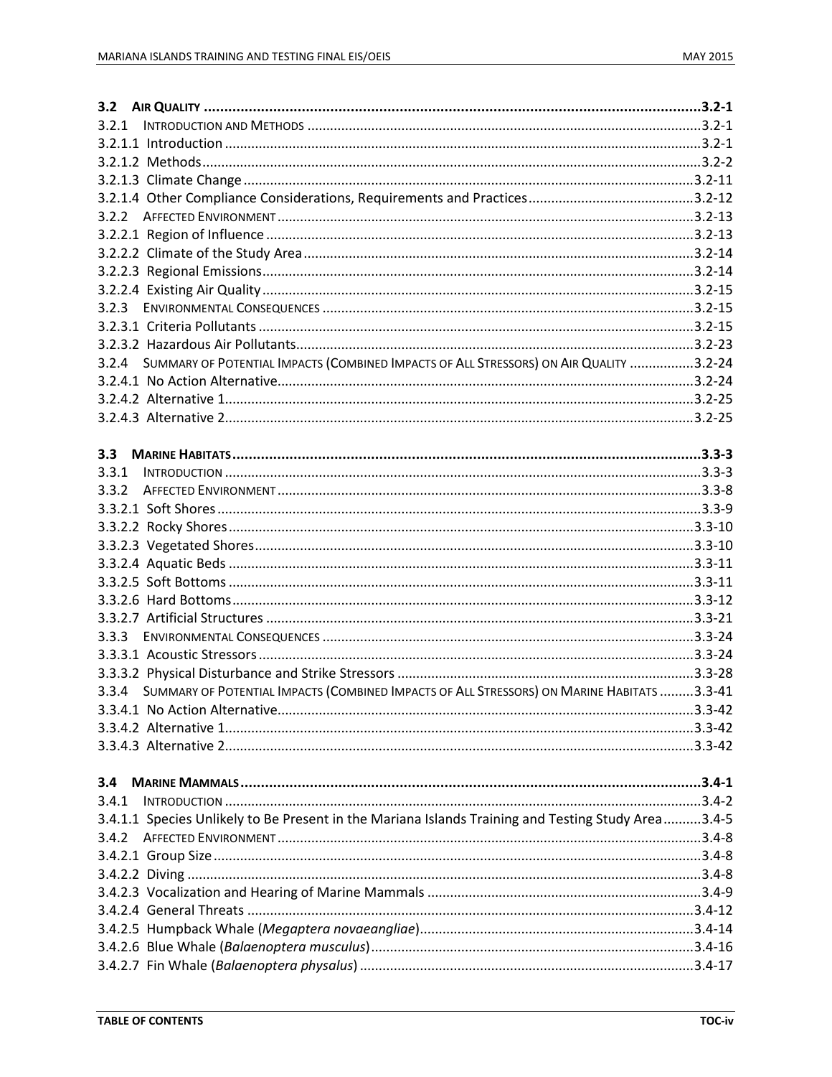| 3.2.3         |                                                                                                    |  |
|---------------|----------------------------------------------------------------------------------------------------|--|
|               |                                                                                                    |  |
|               |                                                                                                    |  |
|               | 3.2.4 SUMMARY OF POTENTIAL IMPACTS (COMBINED IMPACTS OF ALL STRESSORS) ON AIR QUALITY 3.2-24       |  |
|               |                                                                                                    |  |
|               |                                                                                                    |  |
|               |                                                                                                    |  |
|               |                                                                                                    |  |
| $3.3^{\circ}$ |                                                                                                    |  |
|               |                                                                                                    |  |
|               |                                                                                                    |  |
|               |                                                                                                    |  |
|               |                                                                                                    |  |
|               |                                                                                                    |  |
|               |                                                                                                    |  |
|               |                                                                                                    |  |
|               |                                                                                                    |  |
|               |                                                                                                    |  |
|               |                                                                                                    |  |
|               |                                                                                                    |  |
|               |                                                                                                    |  |
|               | 3.3.4 SUMMARY OF POTENTIAL IMPACTS (COMBINED IMPACTS OF ALL STRESSORS) ON MARINE HABITATS 3.3-41   |  |
|               |                                                                                                    |  |
|               |                                                                                                    |  |
|               |                                                                                                    |  |
|               |                                                                                                    |  |
| 3.4           |                                                                                                    |  |
| 3.4.1         |                                                                                                    |  |
|               | 3.4.1.1 Species Unlikely to Be Present in the Mariana Islands Training and Testing Study Area3.4-5 |  |
|               |                                                                                                    |  |
|               |                                                                                                    |  |
|               |                                                                                                    |  |
|               |                                                                                                    |  |
|               |                                                                                                    |  |
|               |                                                                                                    |  |
|               |                                                                                                    |  |
|               |                                                                                                    |  |
|               |                                                                                                    |  |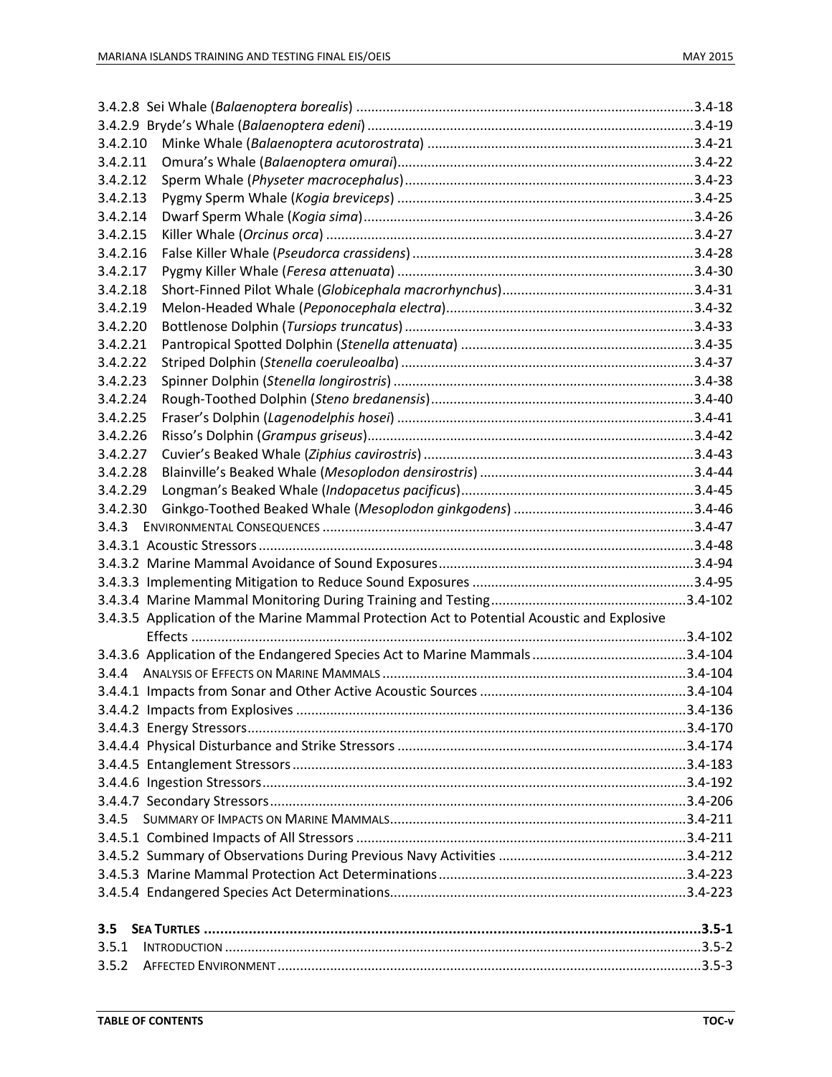| 3.4.2.10         |                                                                                             |  |
|------------------|---------------------------------------------------------------------------------------------|--|
| 3.4.2.11         |                                                                                             |  |
| 3.4.2.12         |                                                                                             |  |
| 3.4.2.13         |                                                                                             |  |
| 3.4.2.14         |                                                                                             |  |
| 3.4.2.15         |                                                                                             |  |
| 3.4.2.16         |                                                                                             |  |
| 3.4.2.17         |                                                                                             |  |
| 3.4.2.18         |                                                                                             |  |
| 3.4.2.19         |                                                                                             |  |
| 3.4.2.20         |                                                                                             |  |
| 3.4.2.21         |                                                                                             |  |
| 3.4.2.22         |                                                                                             |  |
| 3.4.2.23         |                                                                                             |  |
| 3.4.2.24         |                                                                                             |  |
| 3.4.2.25         |                                                                                             |  |
| 3.4.2.26         |                                                                                             |  |
| 3.4.2.27         |                                                                                             |  |
| 3.4.2.28         |                                                                                             |  |
| 3.4.2.29         |                                                                                             |  |
| 3.4.2.30         |                                                                                             |  |
|                  |                                                                                             |  |
|                  |                                                                                             |  |
|                  |                                                                                             |  |
|                  |                                                                                             |  |
|                  |                                                                                             |  |
|                  | 3.4.3.5 Application of the Marine Mammal Protection Act to Potential Acoustic and Explosive |  |
|                  |                                                                                             |  |
|                  |                                                                                             |  |
|                  |                                                                                             |  |
|                  |                                                                                             |  |
|                  |                                                                                             |  |
|                  |                                                                                             |  |
|                  |                                                                                             |  |
|                  |                                                                                             |  |
|                  |                                                                                             |  |
|                  |                                                                                             |  |
|                  |                                                                                             |  |
|                  |                                                                                             |  |
|                  |                                                                                             |  |
|                  |                                                                                             |  |
|                  |                                                                                             |  |
|                  |                                                                                             |  |
| $3.5\phantom{0}$ |                                                                                             |  |
| 3.5.1            |                                                                                             |  |
| 3.5.2            |                                                                                             |  |
|                  |                                                                                             |  |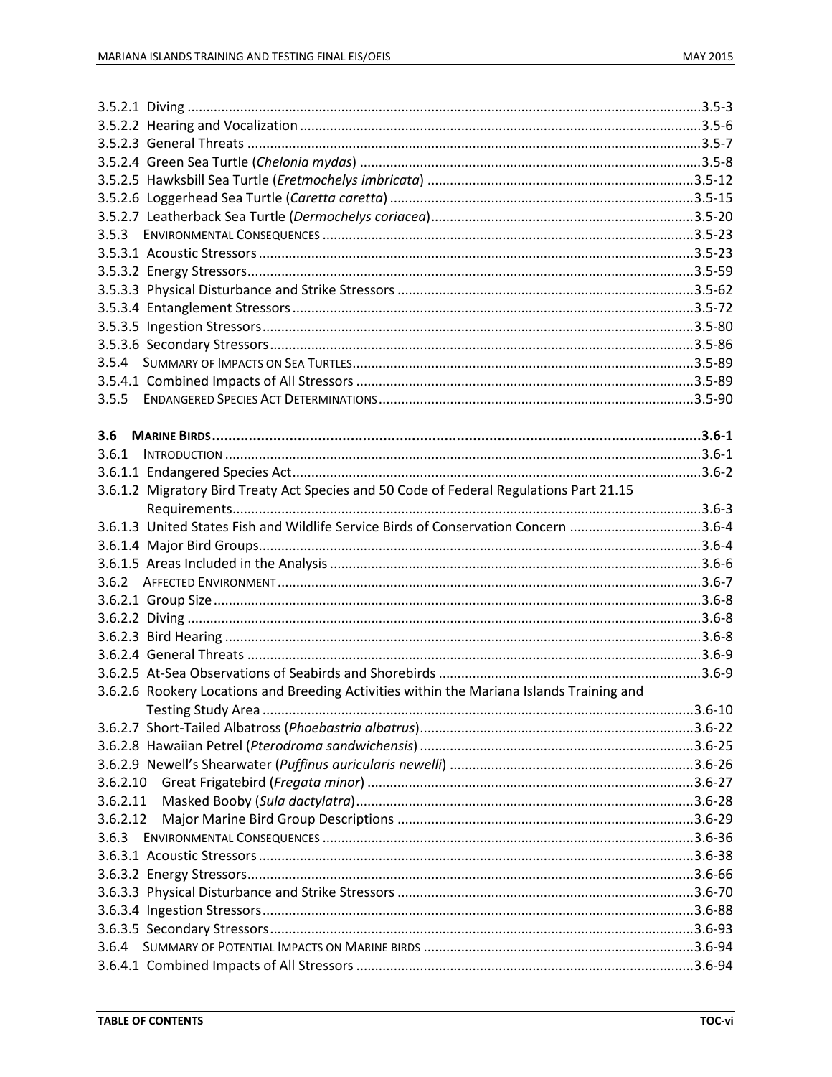| 3.5.4    |                                                                                           |  |
|----------|-------------------------------------------------------------------------------------------|--|
|          |                                                                                           |  |
| 3.5.5    |                                                                                           |  |
|          |                                                                                           |  |
| 3.6      |                                                                                           |  |
| 3.6.1    |                                                                                           |  |
|          |                                                                                           |  |
|          | 3.6.1.2 Migratory Bird Treaty Act Species and 50 Code of Federal Regulations Part 21.15   |  |
|          |                                                                                           |  |
|          | 3.6.1.3 United States Fish and Wildlife Service Birds of Conservation Concern 3.6-4       |  |
|          |                                                                                           |  |
|          |                                                                                           |  |
|          |                                                                                           |  |
|          |                                                                                           |  |
|          |                                                                                           |  |
|          |                                                                                           |  |
|          |                                                                                           |  |
|          |                                                                                           |  |
|          | 3.6.2.6 Rookery Locations and Breeding Activities within the Mariana Islands Training and |  |
|          |                                                                                           |  |
|          |                                                                                           |  |
|          |                                                                                           |  |
|          |                                                                                           |  |
| 3.6.2.10 |                                                                                           |  |
| 3.6.2.11 |                                                                                           |  |
| 3.6.2.12 |                                                                                           |  |
| 3.6.3    |                                                                                           |  |
|          |                                                                                           |  |
|          |                                                                                           |  |
|          |                                                                                           |  |
|          |                                                                                           |  |
|          |                                                                                           |  |
| 3.6.4    |                                                                                           |  |
|          |                                                                                           |  |
|          |                                                                                           |  |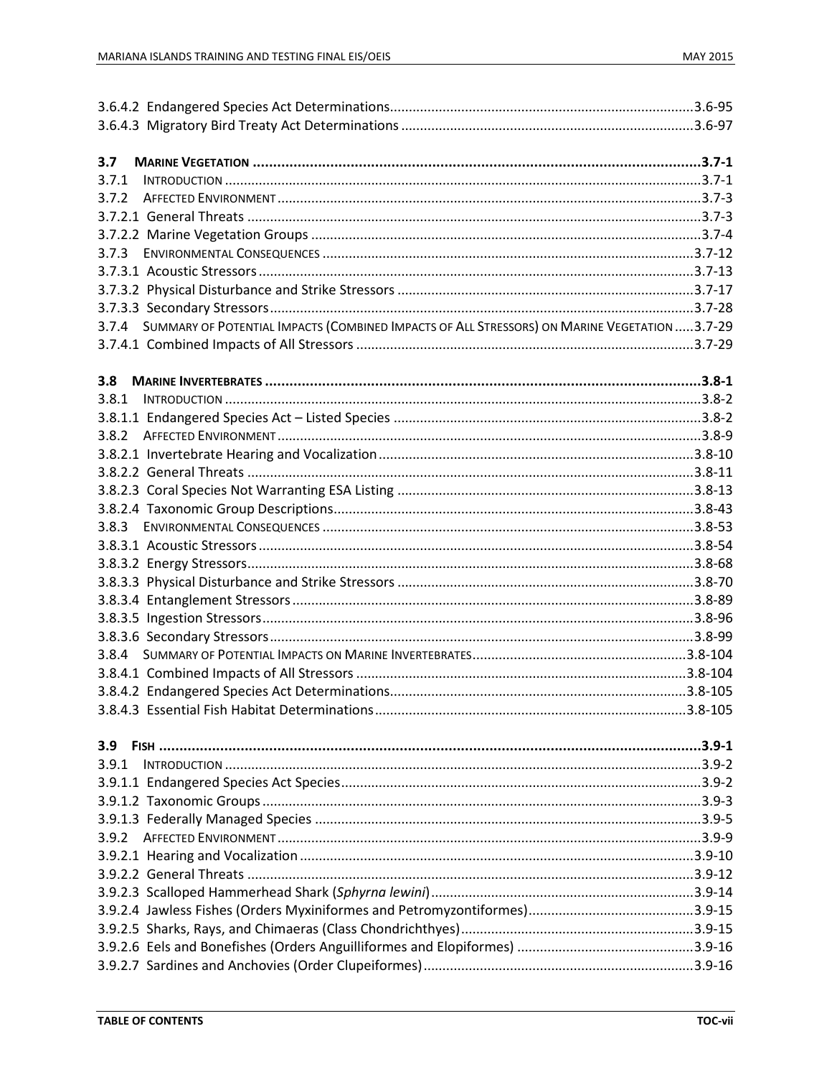| 3.7   |                                                                                                    |  |
|-------|----------------------------------------------------------------------------------------------------|--|
| 3.7.1 |                                                                                                    |  |
| 3.7.2 |                                                                                                    |  |
|       |                                                                                                    |  |
|       |                                                                                                    |  |
| 3.7.3 |                                                                                                    |  |
|       |                                                                                                    |  |
|       |                                                                                                    |  |
|       |                                                                                                    |  |
|       | 3.7.4 SUMMARY OF POTENTIAL IMPACTS (COMBINED IMPACTS OF ALL STRESSORS) ON MARINE VEGETATION 3.7-29 |  |
|       |                                                                                                    |  |
|       |                                                                                                    |  |
| 3.8   |                                                                                                    |  |
| 3.8.1 |                                                                                                    |  |
|       |                                                                                                    |  |
| 3.8.2 |                                                                                                    |  |
|       |                                                                                                    |  |
|       |                                                                                                    |  |
|       |                                                                                                    |  |
|       |                                                                                                    |  |
| 3.8.3 |                                                                                                    |  |
|       |                                                                                                    |  |
|       |                                                                                                    |  |
|       |                                                                                                    |  |
|       |                                                                                                    |  |
|       |                                                                                                    |  |
|       |                                                                                                    |  |
|       |                                                                                                    |  |
|       |                                                                                                    |  |
|       |                                                                                                    |  |
|       |                                                                                                    |  |
|       |                                                                                                    |  |
| 3.9   |                                                                                                    |  |
| 3.9.1 |                                                                                                    |  |
|       |                                                                                                    |  |
|       |                                                                                                    |  |
|       |                                                                                                    |  |
| 3.9.2 |                                                                                                    |  |
|       |                                                                                                    |  |
|       |                                                                                                    |  |
|       |                                                                                                    |  |
|       |                                                                                                    |  |
|       |                                                                                                    |  |
|       |                                                                                                    |  |
|       |                                                                                                    |  |
|       |                                                                                                    |  |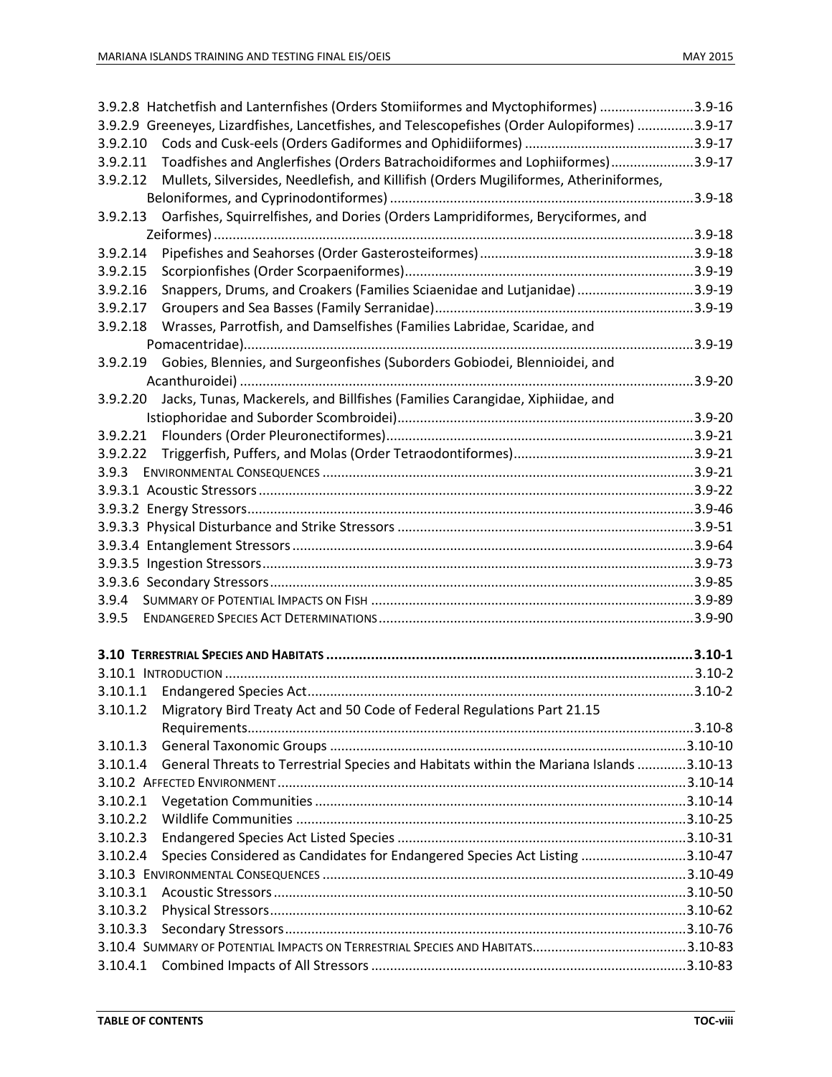|          | 3.9-163.9-16 Hatchetfishes (Inders Stomiiformes and Myctophiformes)                            |  |
|----------|------------------------------------------------------------------------------------------------|--|
|          | 3.9-2.9 Greeneyes, Lizardfishes, Lancetfishes, and Telescopefishes (Order Aulopiformes) 3.9-17 |  |
| 3.9.2.10 |                                                                                                |  |
| 3.9.2.11 | Toadfishes and Anglerfishes (Orders Batrachoidiformes and Lophiiformes)3.9-17                  |  |
| 3.9.2.12 | Mullets, Silversides, Needlefish, and Killifish (Orders Mugiliformes, Atheriniformes,          |  |
|          |                                                                                                |  |
| 3.9.2.13 | Oarfishes, Squirrelfishes, and Dories (Orders Lampridiformes, Beryciformes, and                |  |
|          |                                                                                                |  |
| 3.9.2.14 |                                                                                                |  |
| 3.9.2.15 |                                                                                                |  |
| 3.9.2.16 | Snappers, Drums, and Croakers (Families Sciaenidae and Lutjanidae) 3.9-19                      |  |
| 3.9.2.17 |                                                                                                |  |
| 3.9.2.18 | Wrasses, Parrotfish, and Damselfishes (Families Labridae, Scaridae, and                        |  |
|          |                                                                                                |  |
| 3.9.2.19 | Gobies, Blennies, and Surgeonfishes (Suborders Gobiodei, Blennioidei, and                      |  |
|          |                                                                                                |  |
| 3.9.2.20 | Jacks, Tunas, Mackerels, and Billfishes (Families Carangidae, Xiphiidae, and                   |  |
|          |                                                                                                |  |
| 3.9.2.21 |                                                                                                |  |
| 3.9.2.22 |                                                                                                |  |
| 3.9.3    |                                                                                                |  |
|          |                                                                                                |  |
|          |                                                                                                |  |
|          |                                                                                                |  |
|          |                                                                                                |  |
|          |                                                                                                |  |
|          |                                                                                                |  |
|          |                                                                                                |  |
| 3.9.4    |                                                                                                |  |
| 3.9.5    |                                                                                                |  |
|          |                                                                                                |  |
|          |                                                                                                |  |
| 3.10.1.1 |                                                                                                |  |
|          | 3.10.1.2 Migratory Bird Treaty Act and 50 Code of Federal Regulations Part 21.15               |  |
|          |                                                                                                |  |
| 3.10.1.3 |                                                                                                |  |
| 3.10.1.4 | General Threats to Terrestrial Species and Habitats within the Mariana Islands 3.10-13         |  |
|          |                                                                                                |  |
| 3.10.2.1 |                                                                                                |  |
| 3.10.2.2 |                                                                                                |  |
| 3.10.2.3 |                                                                                                |  |
| 3.10.2.4 | Species Considered as Candidates for Endangered Species Act Listing 3.10-47                    |  |
|          |                                                                                                |  |
| 3.10.3.1 |                                                                                                |  |
| 3.10.3.2 |                                                                                                |  |
| 3.10.3.3 |                                                                                                |  |
|          |                                                                                                |  |
|          |                                                                                                |  |
| 3.10.4.1 |                                                                                                |  |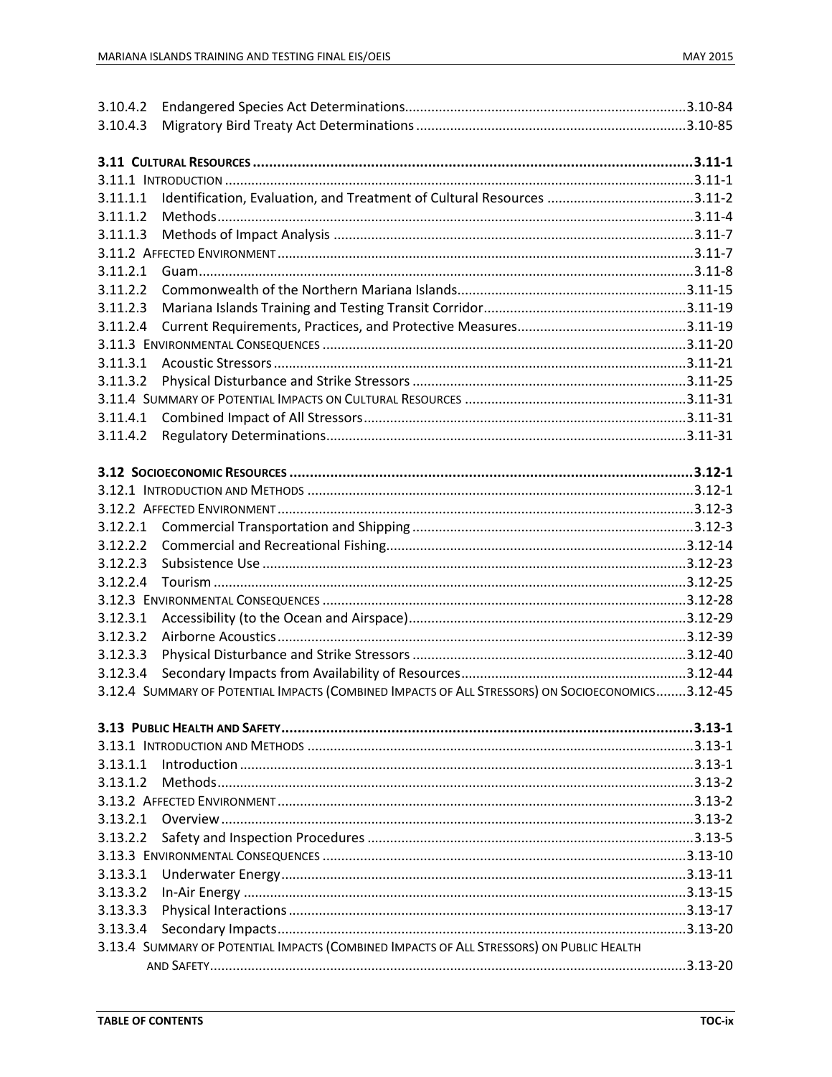| 3.10.4.2 |                                                                                                  |  |
|----------|--------------------------------------------------------------------------------------------------|--|
| 3.10.4.3 |                                                                                                  |  |
|          |                                                                                                  |  |
|          |                                                                                                  |  |
|          |                                                                                                  |  |
| 3.11.1.1 |                                                                                                  |  |
| 3.11.1.2 |                                                                                                  |  |
| 3.11.1.3 |                                                                                                  |  |
|          |                                                                                                  |  |
| 3.11.2.1 |                                                                                                  |  |
| 3.11.2.2 |                                                                                                  |  |
| 3.11.2.3 |                                                                                                  |  |
| 3.11.2.4 |                                                                                                  |  |
|          |                                                                                                  |  |
| 3.11.3.1 |                                                                                                  |  |
| 3.11.3.2 |                                                                                                  |  |
|          |                                                                                                  |  |
| 3.11.4.1 |                                                                                                  |  |
| 3.11.4.2 |                                                                                                  |  |
|          |                                                                                                  |  |
|          |                                                                                                  |  |
|          |                                                                                                  |  |
|          |                                                                                                  |  |
| 3.12.2.1 |                                                                                                  |  |
| 3.12.2.2 |                                                                                                  |  |
| 3.12.2.3 |                                                                                                  |  |
| 3.12.2.4 |                                                                                                  |  |
|          |                                                                                                  |  |
| 3.12.3.1 |                                                                                                  |  |
| 3.12.3.2 |                                                                                                  |  |
| 3.12.3.3 |                                                                                                  |  |
| 3.12.3.4 |                                                                                                  |  |
|          | 3.12.4 SUMMARY OF POTENTIAL IMPACTS (COMBINED IMPACTS OF ALL STRESSORS) ON SOCIOECONOMICS3.12-45 |  |
|          |                                                                                                  |  |
|          |                                                                                                  |  |
|          |                                                                                                  |  |
| 3.13.1.1 |                                                                                                  |  |
| 3.13.1.2 |                                                                                                  |  |
|          |                                                                                                  |  |
| 3.13.2.1 |                                                                                                  |  |
| 3.13.2.2 |                                                                                                  |  |
|          |                                                                                                  |  |
| 3.13.3.1 |                                                                                                  |  |
| 3.13.3.2 |                                                                                                  |  |
| 3.13.3.3 |                                                                                                  |  |
| 3.13.3.4 |                                                                                                  |  |
|          | 3.13.4 SUMMARY OF POTENTIAL IMPACTS (COMBINED IMPACTS OF ALL STRESSORS) ON PUBLIC HEALTH         |  |
|          |                                                                                                  |  |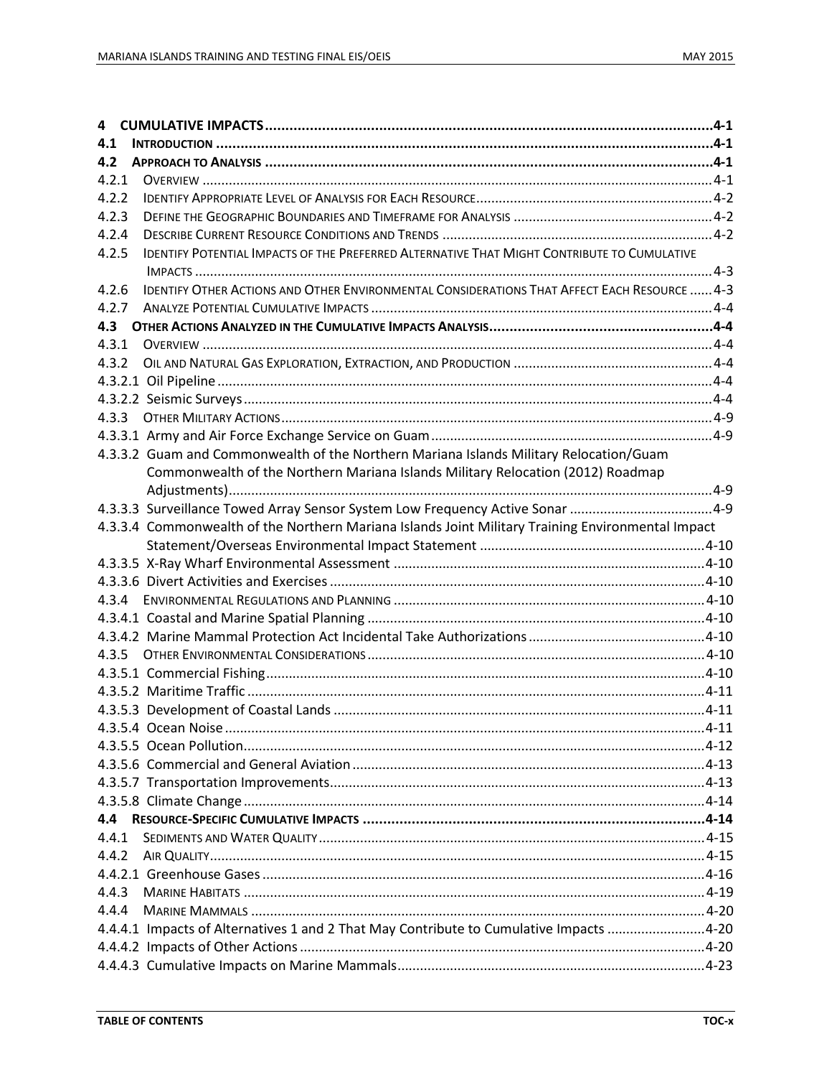| 4     |                                                                                                     |  |
|-------|-----------------------------------------------------------------------------------------------------|--|
| 4.1   |                                                                                                     |  |
| 4.2   |                                                                                                     |  |
| 4.2.1 |                                                                                                     |  |
| 4.2.2 |                                                                                                     |  |
| 4.2.3 |                                                                                                     |  |
| 4.2.4 |                                                                                                     |  |
| 4.2.5 | <b>IDENTIFY POTENTIAL IMPACTS OF THE PREFERRED ALTERNATIVE THAT MIGHT CONTRIBUTE TO CUMULATIVE</b>  |  |
| 4.2.6 | <b>IDENTIFY OTHER ACTIONS AND OTHER ENVIRONMENTAL CONSIDERATIONS THAT AFFECT EACH RESOURCE  4-3</b> |  |
| 4.2.7 |                                                                                                     |  |
|       |                                                                                                     |  |
| 4.3.1 |                                                                                                     |  |
| 4.3.2 |                                                                                                     |  |
|       |                                                                                                     |  |
|       |                                                                                                     |  |
|       |                                                                                                     |  |
|       |                                                                                                     |  |
|       | 4.3.3.2 Guam and Commonwealth of the Northern Mariana Islands Military Relocation/Guam              |  |
|       | Commonwealth of the Northern Mariana Islands Military Relocation (2012) Roadmap                     |  |
|       |                                                                                                     |  |
|       | 4-3.3.3 Surveillance Towed Array Sensor System Low Frequency Active Sonar 4-9                       |  |
|       | 4.3.3.4 Commonwealth of the Northern Mariana Islands Joint Military Training Environmental Impact   |  |
|       |                                                                                                     |  |
|       |                                                                                                     |  |
|       |                                                                                                     |  |
|       |                                                                                                     |  |
|       |                                                                                                     |  |
|       |                                                                                                     |  |
|       |                                                                                                     |  |
|       |                                                                                                     |  |
|       |                                                                                                     |  |
|       |                                                                                                     |  |
|       |                                                                                                     |  |
|       |                                                                                                     |  |
|       |                                                                                                     |  |
|       |                                                                                                     |  |
|       |                                                                                                     |  |
| 4.4   |                                                                                                     |  |
| 4.4.1 |                                                                                                     |  |
| 4.4.2 |                                                                                                     |  |
|       |                                                                                                     |  |
| 4.4.3 |                                                                                                     |  |
| 4.4.4 |                                                                                                     |  |
|       |                                                                                                     |  |
|       |                                                                                                     |  |
|       |                                                                                                     |  |
|       |                                                                                                     |  |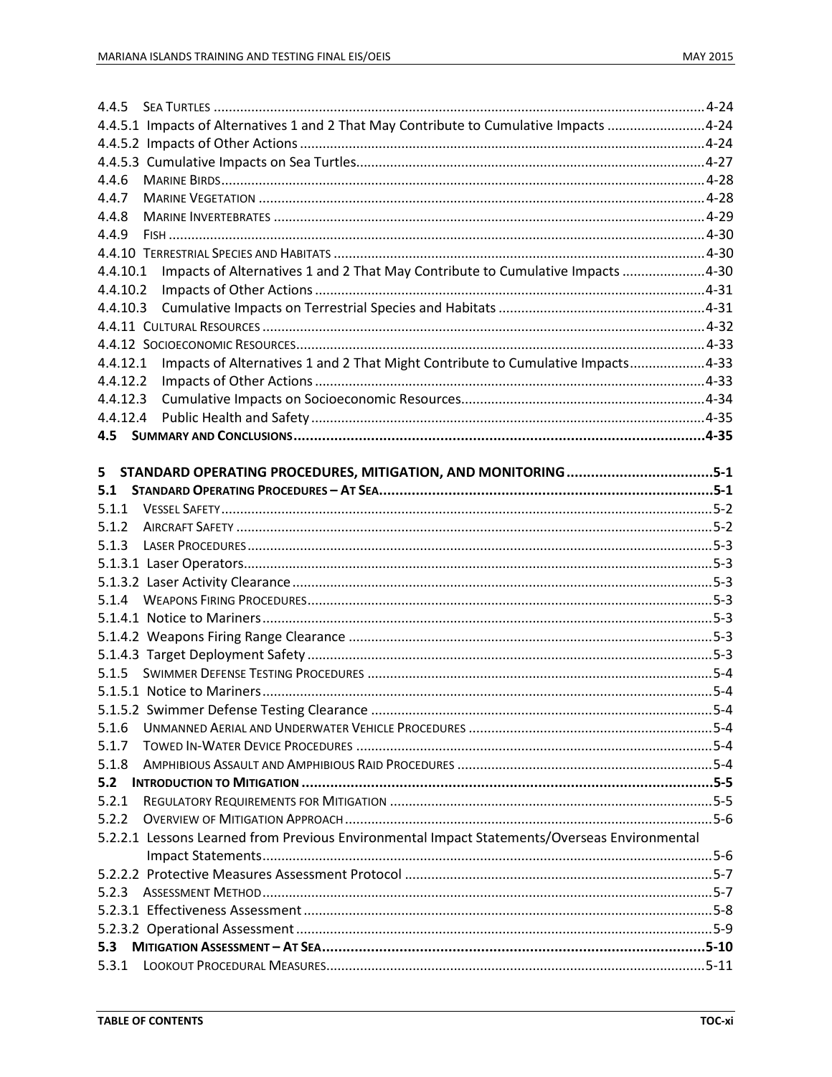| 4.4.5.1 Impacts of Alternatives 1 and 2 That May Contribute to Cumulative Impacts 4-24       |  |
|----------------------------------------------------------------------------------------------|--|
|                                                                                              |  |
|                                                                                              |  |
| 4.4.6                                                                                        |  |
| 4.4.7                                                                                        |  |
| 4.4.8                                                                                        |  |
| 4.4.9                                                                                        |  |
|                                                                                              |  |
| Impacts of Alternatives 1 and 2 That May Contribute to Cumulative Impacts 4-30<br>4.4.10.1   |  |
| 4.4.10.2                                                                                     |  |
| 4.4.10.3                                                                                     |  |
|                                                                                              |  |
|                                                                                              |  |
| Impacts of Alternatives 1 and 2 That Might Contribute to Cumulative Impacts4-33<br>4.4.12.1  |  |
| 4.4.12.2                                                                                     |  |
| 4.4.12.3                                                                                     |  |
| 4.4.12.4                                                                                     |  |
|                                                                                              |  |
|                                                                                              |  |
| 5 STANDARD OPERATING PROCEDURES, MITIGATION, AND MONITORING5-1                               |  |
| 5.1                                                                                          |  |
|                                                                                              |  |
| 5.1.2                                                                                        |  |
| 5.1.3                                                                                        |  |
|                                                                                              |  |
|                                                                                              |  |
|                                                                                              |  |
|                                                                                              |  |
|                                                                                              |  |
|                                                                                              |  |
|                                                                                              |  |
|                                                                                              |  |
|                                                                                              |  |
| 5.1.6                                                                                        |  |
| 5.1.7                                                                                        |  |
| 5.1.8                                                                                        |  |
| 5.2                                                                                          |  |
| 5.2.1                                                                                        |  |
| 5.2.2                                                                                        |  |
| 5.2.2.1 Lessons Learned from Previous Environmental Impact Statements/Overseas Environmental |  |
|                                                                                              |  |
|                                                                                              |  |
| 5.2.3                                                                                        |  |
|                                                                                              |  |
|                                                                                              |  |
| 5.3                                                                                          |  |
|                                                                                              |  |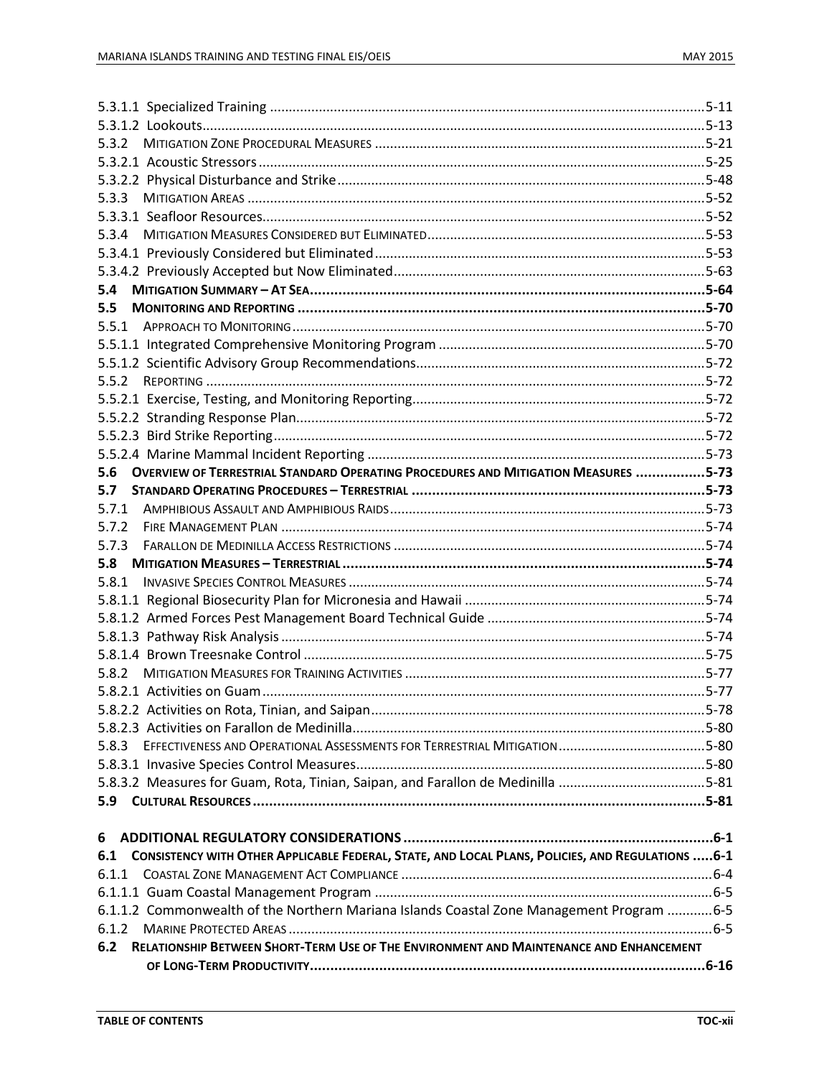| 5.3.4 |                                                                                                   |  |
|-------|---------------------------------------------------------------------------------------------------|--|
|       |                                                                                                   |  |
|       |                                                                                                   |  |
| 5.4   |                                                                                                   |  |
| 5.5   |                                                                                                   |  |
|       |                                                                                                   |  |
|       |                                                                                                   |  |
|       |                                                                                                   |  |
| 5.5.2 |                                                                                                   |  |
|       |                                                                                                   |  |
|       |                                                                                                   |  |
|       |                                                                                                   |  |
|       |                                                                                                   |  |
| 5.6   | <b>OVERVIEW OF TERRESTRIAL STANDARD OPERATING PROCEDURES AND MITIGATION MEASURES 5-73</b>         |  |
| 5.7   |                                                                                                   |  |
|       |                                                                                                   |  |
| 5.7.2 |                                                                                                   |  |
| 5.7.3 |                                                                                                   |  |
|       |                                                                                                   |  |
|       |                                                                                                   |  |
|       |                                                                                                   |  |
|       |                                                                                                   |  |
|       |                                                                                                   |  |
|       |                                                                                                   |  |
|       |                                                                                                   |  |
|       |                                                                                                   |  |
|       |                                                                                                   |  |
|       |                                                                                                   |  |
|       |                                                                                                   |  |
| 5.8.3 |                                                                                                   |  |
|       |                                                                                                   |  |
|       | 5.8.3.2 Measures for Guam, Rota, Tinian, Saipan, and Farallon de Medinilla 5-81                   |  |
|       |                                                                                                   |  |
|       |                                                                                                   |  |
| 6     |                                                                                                   |  |
| 6.1   | CONSISTENCY WITH OTHER APPLICABLE FEDERAL, STATE, AND LOCAL PLANS, POLICIES, AND REGULATIONS  6-1 |  |
| 6.1.1 |                                                                                                   |  |
|       |                                                                                                   |  |
|       | 6-1.1.2 Commonwealth of the Northern Mariana Islands Coastal Zone Management Program 6-5          |  |
| 6.1.2 |                                                                                                   |  |
| 6.2   | RELATIONSHIP BETWEEN SHORT-TERM USE OF THE ENVIRONMENT AND MAINTENANCE AND ENHANCEMENT            |  |
|       |                                                                                                   |  |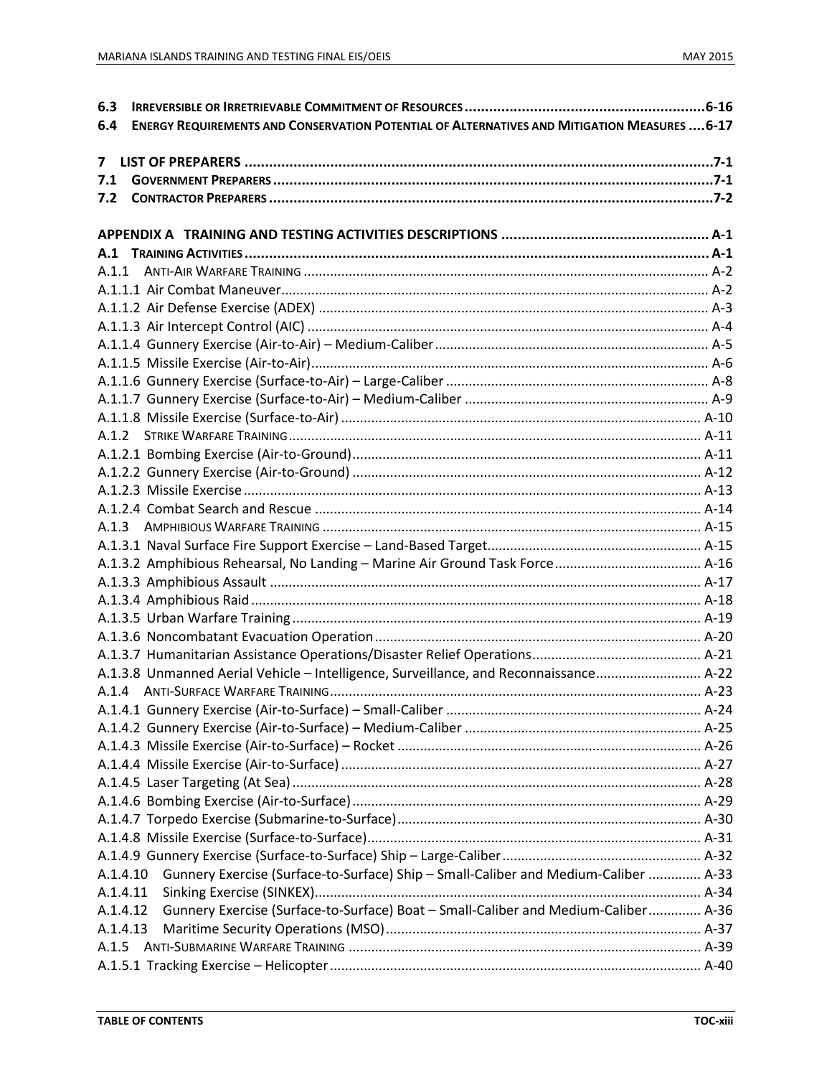| 6.3                                                                                                        |  |
|------------------------------------------------------------------------------------------------------------|--|
| <b>ENERGY REQUIREMENTS AND CONSERVATION POTENTIAL OF ALTERNATIVES AND MITIGATION MEASURES  6-17</b><br>6.4 |  |
| $7^{\circ}$                                                                                                |  |
| 7.1                                                                                                        |  |
| 7.2                                                                                                        |  |
|                                                                                                            |  |
|                                                                                                            |  |
|                                                                                                            |  |
| A.1.1                                                                                                      |  |
|                                                                                                            |  |
|                                                                                                            |  |
|                                                                                                            |  |
|                                                                                                            |  |
|                                                                                                            |  |
|                                                                                                            |  |
|                                                                                                            |  |
|                                                                                                            |  |
|                                                                                                            |  |
|                                                                                                            |  |
|                                                                                                            |  |
|                                                                                                            |  |
|                                                                                                            |  |
|                                                                                                            |  |
|                                                                                                            |  |
|                                                                                                            |  |
|                                                                                                            |  |
|                                                                                                            |  |
|                                                                                                            |  |
|                                                                                                            |  |
|                                                                                                            |  |
| A.1.3.8 Unmanned Aerial Vehicle – Intelligence, Surveillance, and Reconnaissance A-22                      |  |
|                                                                                                            |  |
|                                                                                                            |  |
|                                                                                                            |  |
|                                                                                                            |  |
|                                                                                                            |  |
|                                                                                                            |  |
|                                                                                                            |  |
|                                                                                                            |  |
|                                                                                                            |  |
|                                                                                                            |  |
| A.1.4.10 Gunnery Exercise (Surface-to-Surface) Ship - Small-Caliber and Medium-Caliber  A-33               |  |
| A.1.4.11                                                                                                   |  |
| Gunnery Exercise (Surface-to-Surface) Boat - Small-Caliber and Medium-Caliber A-36<br>A.1.4.12             |  |
| A.1.4.13                                                                                                   |  |
| A.1.5                                                                                                      |  |
|                                                                                                            |  |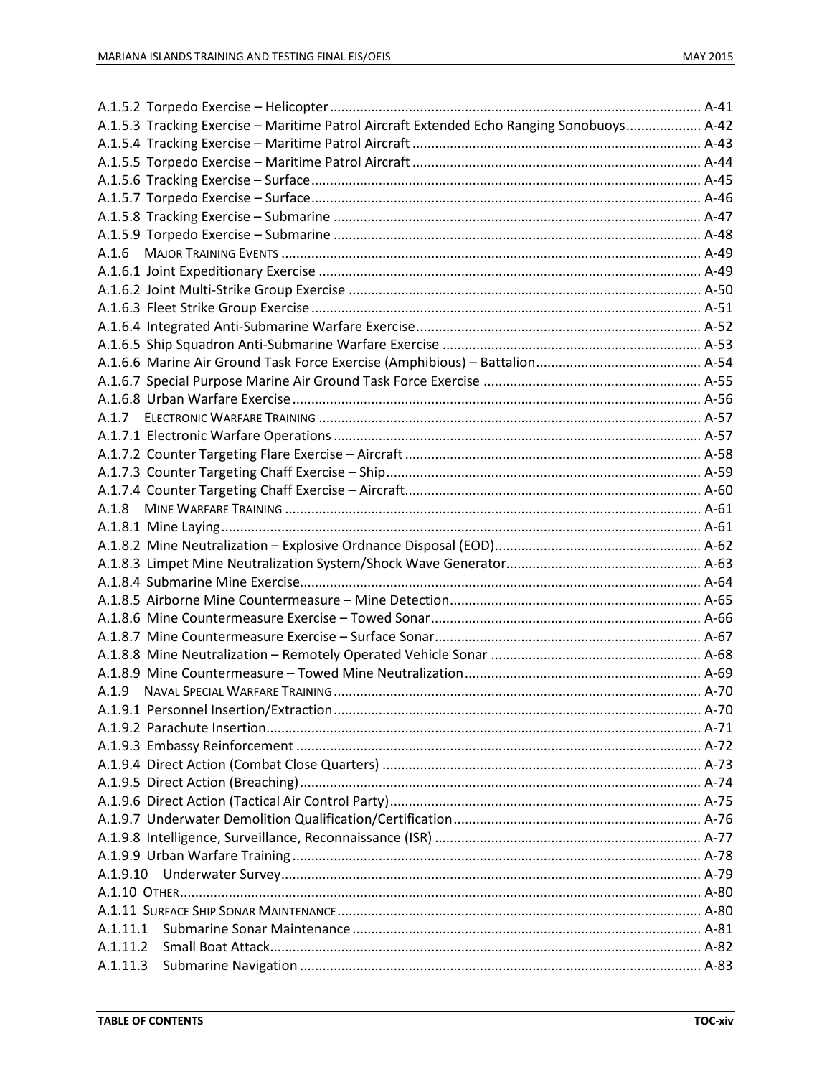|          | A.1.5.3 Tracking Exercise - Maritime Patrol Aircraft Extended Echo Ranging Sonobuoys A-42 |  |
|----------|-------------------------------------------------------------------------------------------|--|
|          |                                                                                           |  |
|          |                                                                                           |  |
|          |                                                                                           |  |
|          |                                                                                           |  |
|          |                                                                                           |  |
|          |                                                                                           |  |
| A.1.6    |                                                                                           |  |
|          |                                                                                           |  |
|          |                                                                                           |  |
|          |                                                                                           |  |
|          |                                                                                           |  |
|          |                                                                                           |  |
|          |                                                                                           |  |
|          |                                                                                           |  |
|          |                                                                                           |  |
|          |                                                                                           |  |
|          |                                                                                           |  |
|          |                                                                                           |  |
|          |                                                                                           |  |
|          |                                                                                           |  |
| A.1.8    |                                                                                           |  |
|          |                                                                                           |  |
|          |                                                                                           |  |
|          |                                                                                           |  |
|          |                                                                                           |  |
|          |                                                                                           |  |
|          |                                                                                           |  |
|          |                                                                                           |  |
|          |                                                                                           |  |
|          |                                                                                           |  |
|          |                                                                                           |  |
|          |                                                                                           |  |
|          |                                                                                           |  |
|          |                                                                                           |  |
|          |                                                                                           |  |
|          |                                                                                           |  |
|          |                                                                                           |  |
|          |                                                                                           |  |
|          |                                                                                           |  |
|          |                                                                                           |  |
| A.1.9.10 |                                                                                           |  |
|          |                                                                                           |  |
|          |                                                                                           |  |
| A.1.11.1 |                                                                                           |  |
| A.1.11.2 |                                                                                           |  |
| A.1.11.3 |                                                                                           |  |
|          |                                                                                           |  |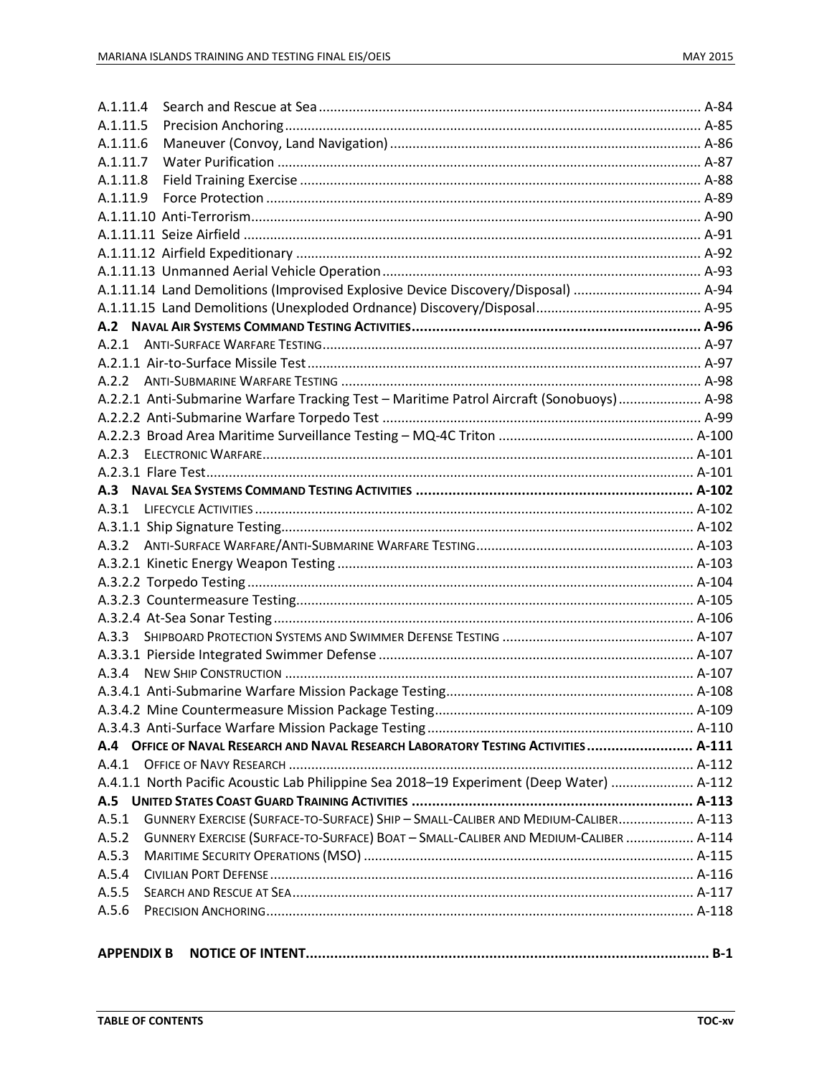| A.1.11.4 |                                                                                          |  |
|----------|------------------------------------------------------------------------------------------|--|
| A.1.11.5 |                                                                                          |  |
| A.1.11.6 |                                                                                          |  |
| A.1.11.7 |                                                                                          |  |
| A.1.11.8 |                                                                                          |  |
| A.1.11.9 |                                                                                          |  |
|          |                                                                                          |  |
|          |                                                                                          |  |
|          |                                                                                          |  |
|          |                                                                                          |  |
|          | A.1.11.14 Land Demolitions (Improvised Explosive Device Discovery/Disposal)  A-94        |  |
|          |                                                                                          |  |
|          |                                                                                          |  |
|          |                                                                                          |  |
|          |                                                                                          |  |
|          |                                                                                          |  |
|          | A.2.2.1 Anti-Submarine Warfare Tracking Test - Maritime Patrol Aircraft (Sonobuoys) A-98 |  |
|          |                                                                                          |  |
|          |                                                                                          |  |
|          |                                                                                          |  |
|          |                                                                                          |  |
|          |                                                                                          |  |
|          |                                                                                          |  |
|          |                                                                                          |  |
|          |                                                                                          |  |
|          |                                                                                          |  |
|          |                                                                                          |  |
|          |                                                                                          |  |
|          |                                                                                          |  |
|          |                                                                                          |  |
|          |                                                                                          |  |
|          |                                                                                          |  |
|          |                                                                                          |  |
|          |                                                                                          |  |
|          |                                                                                          |  |
|          | A.4 OFFICE OF NAVAL RESEARCH AND NAVAL RESEARCH LABORATORY TESTING ACTIVITIES  A-111     |  |
| A.4.1    |                                                                                          |  |
|          | A.4.1.1 North Pacific Acoustic Lab Philippine Sea 2018-19 Experiment (Deep Water)  A-112 |  |
|          |                                                                                          |  |
| A.5.1    | GUNNERY EXERCISE (SURFACE-TO-SURFACE) SHIP - SMALL-CALIBER AND MEDIUM-CALIBER A-113      |  |
| A.5.2    | GUNNERY EXERCISE (SURFACE-TO-SURFACE) BOAT - SMALL-CALIBER AND MEDIUM-CALIBER  A-114     |  |
| A.5.3    |                                                                                          |  |
| A.5.4    |                                                                                          |  |
| A.5.5    |                                                                                          |  |
| A.5.6    |                                                                                          |  |
|          |                                                                                          |  |
|          |                                                                                          |  |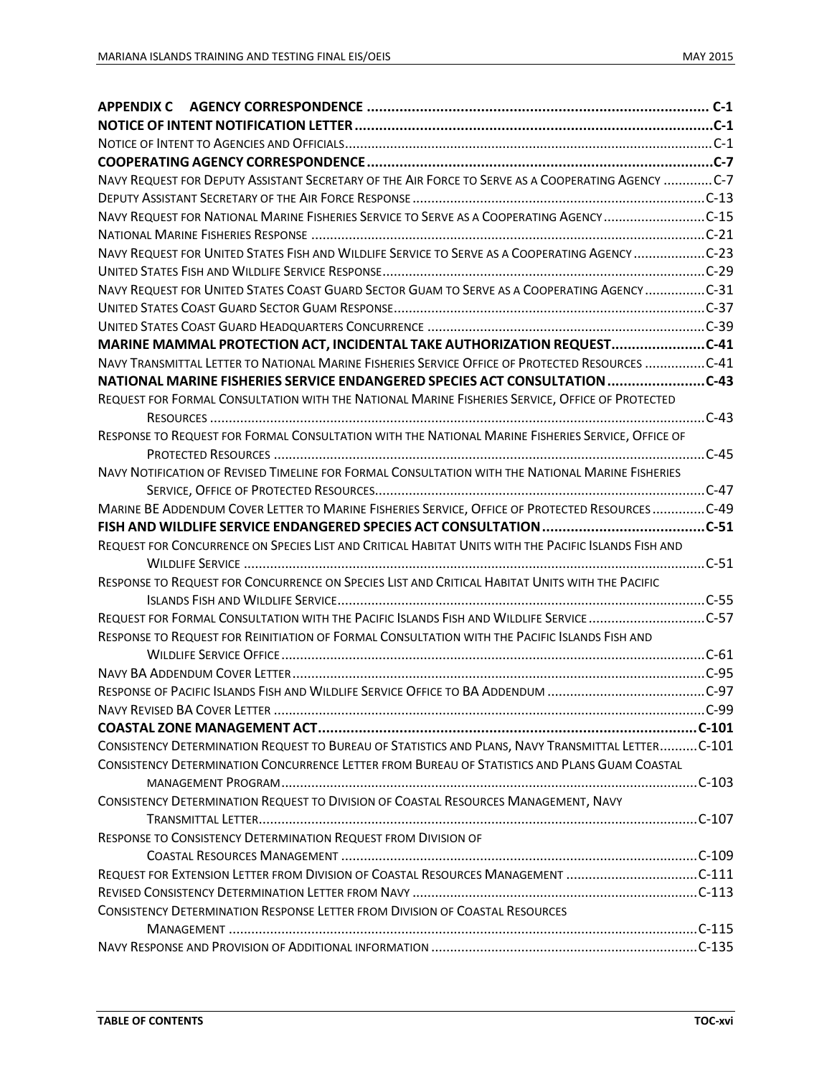| NAVY REQUEST FOR DEPUTY ASSISTANT SECRETARY OF THE AIR FORCE TO SERVE AS A COOPERATING AGENCY C-7    |  |
|------------------------------------------------------------------------------------------------------|--|
|                                                                                                      |  |
| NAVY REQUEST FOR NATIONAL MARINE FISHERIES SERVICE TO SERVE AS A COOPERATING AGENCYC-15              |  |
|                                                                                                      |  |
| NAVY REQUEST FOR UNITED STATES FISH AND WILDLIFE SERVICE TO SERVE AS A COOPERATING AGENCY C-23       |  |
|                                                                                                      |  |
| NAVY REQUEST FOR UNITED STATES COAST GUARD SECTOR GUAM TO SERVE AS A COOPERATING AGENCY C-31         |  |
|                                                                                                      |  |
|                                                                                                      |  |
| MARINE MAMMAL PROTECTION ACT, INCIDENTAL TAKE AUTHORIZATION REQUESTC-41                              |  |
| NAVY TRANSMITTAL LETTER TO NATIONAL MARINE FISHERIES SERVICE OFFICE OF PROTECTED RESOURCES  C-41     |  |
| NATIONAL MARINE FISHERIES SERVICE ENDANGERED SPECIES ACT CONSULTATION C-43                           |  |
| REQUEST FOR FORMAL CONSULTATION WITH THE NATIONAL MARINE FISHERIES SERVICE, OFFICE OF PROTECTED      |  |
|                                                                                                      |  |
| RESPONSE TO REQUEST FOR FORMAL CONSULTATION WITH THE NATIONAL MARINE FISHERIES SERVICE, OFFICE OF    |  |
|                                                                                                      |  |
| NAVY NOTIFICATION OF REVISED TIMELINE FOR FORMAL CONSULTATION WITH THE NATIONAL MARINE FISHERIES     |  |
|                                                                                                      |  |
| MARINE BE ADDENDUM COVER LETTER TO MARINE FISHERIES SERVICE, OFFICE OF PROTECTED RESOURCESC-49       |  |
|                                                                                                      |  |
| REQUEST FOR CONCURRENCE ON SPECIES LIST AND CRITICAL HABITAT UNITS WITH THE PACIFIC ISLANDS FISH AND |  |
|                                                                                                      |  |
| RESPONSE TO REQUEST FOR CONCURRENCE ON SPECIES LIST AND CRITICAL HABITAT UNITS WITH THE PACIFIC      |  |
|                                                                                                      |  |
| REQUEST FOR FORMAL CONSULTATION WITH THE PACIFIC ISLANDS FISH AND WILDLIFE SERVICE C-57              |  |
| RESPONSE TO REQUEST FOR REINITIATION OF FORMAL CONSULTATION WITH THE PACIFIC ISLANDS FISH AND        |  |
|                                                                                                      |  |
|                                                                                                      |  |
|                                                                                                      |  |
|                                                                                                      |  |
|                                                                                                      |  |
| CONSISTENCY DETERMINATION REQUEST TO BUREAU OF STATISTICS AND PLANS, NAVY TRANSMITTAL LETTERC-101    |  |
| CONSISTENCY DETERMINATION CONCURRENCE LETTER FROM BUREAU OF STATISTICS AND PLANS GUAM COASTAL        |  |
|                                                                                                      |  |
| CONSISTENCY DETERMINATION REQUEST TO DIVISION OF COASTAL RESOURCES MANAGEMENT, NAVY                  |  |
|                                                                                                      |  |
| RESPONSE TO CONSISTENCY DETERMINATION REQUEST FROM DIVISION OF                                       |  |
|                                                                                                      |  |
| REQUEST FOR EXTENSION LETTER FROM DIVISION OF COASTAL RESOURCES MANAGEMENT C-111                     |  |
|                                                                                                      |  |
| <b>CONSISTENCY DETERMINATION RESPONSE LETTER FROM DIVISION OF COASTAL RESOURCES</b>                  |  |
|                                                                                                      |  |
|                                                                                                      |  |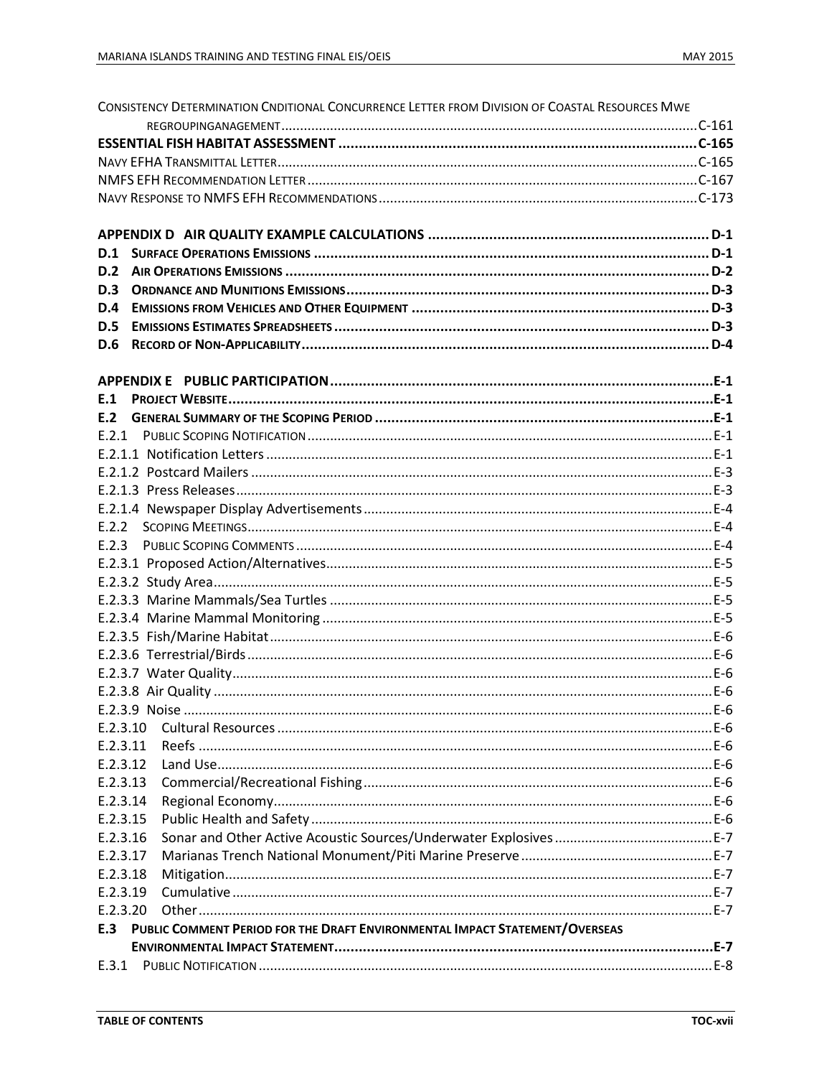| CONSISTENCY DETERMINATION CNDITIONAL CONCURRENCE LETTER FROM DIVISION OF COASTAL RESOURCES MWE |  |
|------------------------------------------------------------------------------------------------|--|
|                                                                                                |  |
|                                                                                                |  |
|                                                                                                |  |
|                                                                                                |  |
|                                                                                                |  |
|                                                                                                |  |
|                                                                                                |  |
| D.1                                                                                            |  |
| D.2                                                                                            |  |
| D.3                                                                                            |  |
| D.4                                                                                            |  |
| D.5                                                                                            |  |
| D.6                                                                                            |  |
|                                                                                                |  |
|                                                                                                |  |
| E.1                                                                                            |  |
| F.2                                                                                            |  |
|                                                                                                |  |
|                                                                                                |  |
|                                                                                                |  |
|                                                                                                |  |
|                                                                                                |  |
|                                                                                                |  |
| E.2.3                                                                                          |  |
|                                                                                                |  |
|                                                                                                |  |
|                                                                                                |  |
|                                                                                                |  |
|                                                                                                |  |
|                                                                                                |  |
|                                                                                                |  |
|                                                                                                |  |
|                                                                                                |  |
|                                                                                                |  |
| E.2.3.10                                                                                       |  |
| E.2.3.11                                                                                       |  |
| E.2.3.12                                                                                       |  |
| E.2.3.13                                                                                       |  |
| E.2.3.14                                                                                       |  |
| E.2.3.15                                                                                       |  |
| E.2.3.16                                                                                       |  |
| E.2.3.17                                                                                       |  |
| E.2.3.18                                                                                       |  |
| E.2.3.19                                                                                       |  |
| E.2.3.20                                                                                       |  |
| PUBLIC COMMENT PERIOD FOR THE DRAFT ENVIRONMENTAL IMPACT STATEMENT/OVERSEAS<br>E.3             |  |
|                                                                                                |  |
|                                                                                                |  |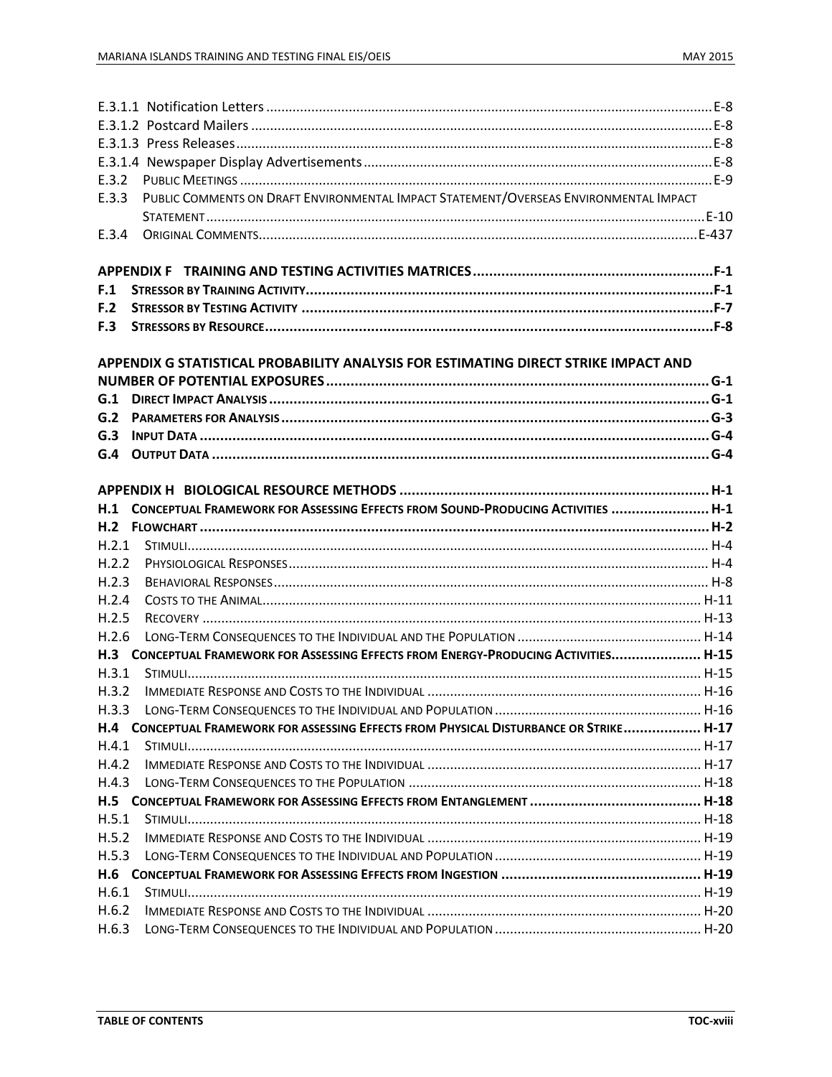| E.3.2 |                                                                                       |  |
|-------|---------------------------------------------------------------------------------------|--|
| E.3.3 | PUBLIC COMMENTS ON DRAFT ENVIRONMENTAL IMPACT STATEMENT/OVERSEAS ENVIRONMENTAL IMPACT |  |
|       |                                                                                       |  |
| E.3.4 |                                                                                       |  |
|       |                                                                                       |  |
|       |                                                                                       |  |
| F.1   |                                                                                       |  |
| F.2   |                                                                                       |  |
| F.3   |                                                                                       |  |
|       | APPENDIX G STATISTICAL PROBABILITY ANALYSIS FOR ESTIMATING DIRECT STRIKE IMPACT AND   |  |
|       |                                                                                       |  |
| G.1   |                                                                                       |  |
| G.2   |                                                                                       |  |
| G.3   |                                                                                       |  |
| G.4   |                                                                                       |  |
|       |                                                                                       |  |
|       |                                                                                       |  |
| H.1   | CONCEPTUAL FRAMEWORK FOR ASSESSING EFFECTS FROM SOUND-PRODUCING ACTIVITIES  H-1       |  |
|       |                                                                                       |  |
| H.2.1 |                                                                                       |  |
| H.2.2 |                                                                                       |  |
| H.2.3 |                                                                                       |  |
| H.2.4 |                                                                                       |  |
| H.2.5 |                                                                                       |  |
| H.2.6 |                                                                                       |  |
| H.3   | CONCEPTUAL FRAMEWORK FOR ASSESSING EFFECTS FROM ENERGY-PRODUCING ACTIVITIES H-15      |  |
| H.3.1 |                                                                                       |  |
| H.3.2 |                                                                                       |  |
| H.3.3 |                                                                                       |  |
| H.4   | CONCEPTUAL FRAMEWORK FOR ASSESSING EFFECTS FROM PHYSICAL DISTURBANCE OR STRIKE H-17   |  |
| H.4.1 |                                                                                       |  |
| H.4.2 |                                                                                       |  |
| H.4.3 |                                                                                       |  |
|       |                                                                                       |  |
| H.5.1 |                                                                                       |  |
| H.5.2 |                                                                                       |  |
| H.5.3 |                                                                                       |  |
| H.6   |                                                                                       |  |
|       |                                                                                       |  |
| H.6.1 |                                                                                       |  |
| H.6.2 |                                                                                       |  |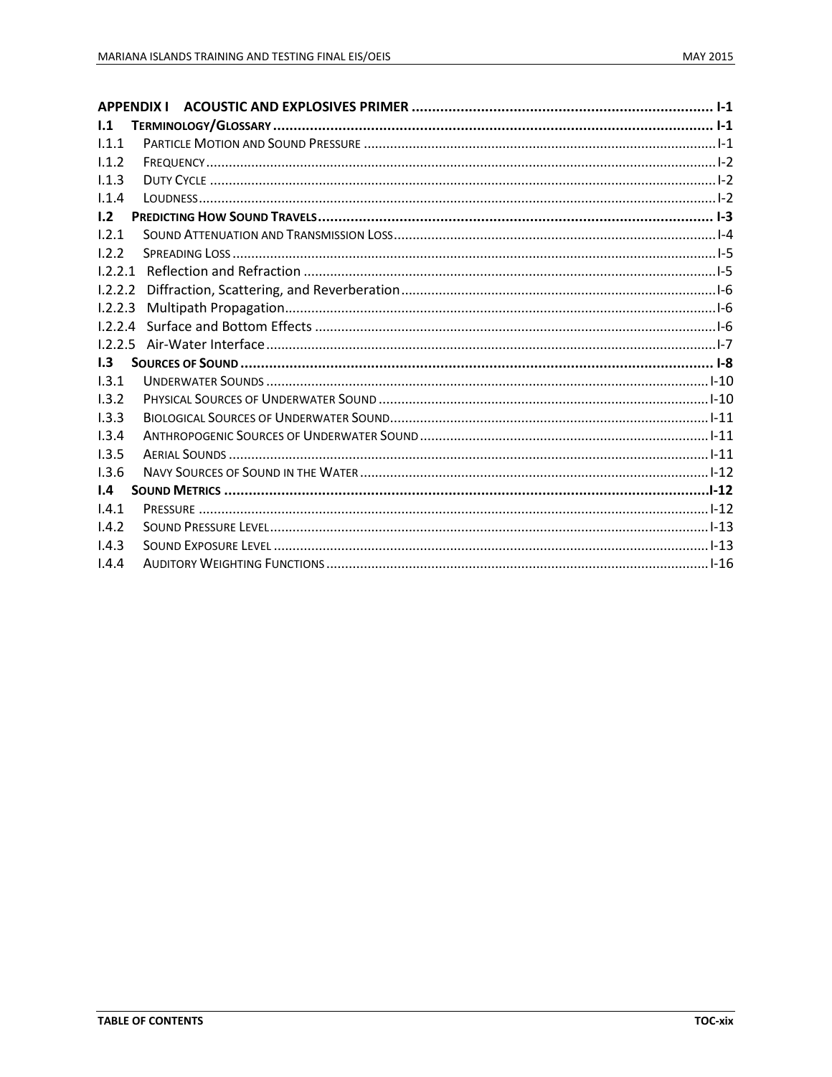| 1.1          |  |
|--------------|--|
| 1.1.1        |  |
| 1.1.2        |  |
| 1.1.3        |  |
| 1.1.4        |  |
| 1.2          |  |
| 1.2.1        |  |
| 1.2.2        |  |
| 1.2.2.1      |  |
| 1.2.2.2      |  |
| 1.2.2.3      |  |
|              |  |
|              |  |
| 1.3          |  |
| 1.3.1        |  |
| 1.3.2        |  |
| 1.3.3        |  |
| 1.3.4        |  |
| 1.3.5        |  |
| 1.3.6        |  |
| $\mathbf{L}$ |  |
| 1.4.1        |  |
| 1.4.2        |  |
| 1.4.3        |  |
| 1.4.4        |  |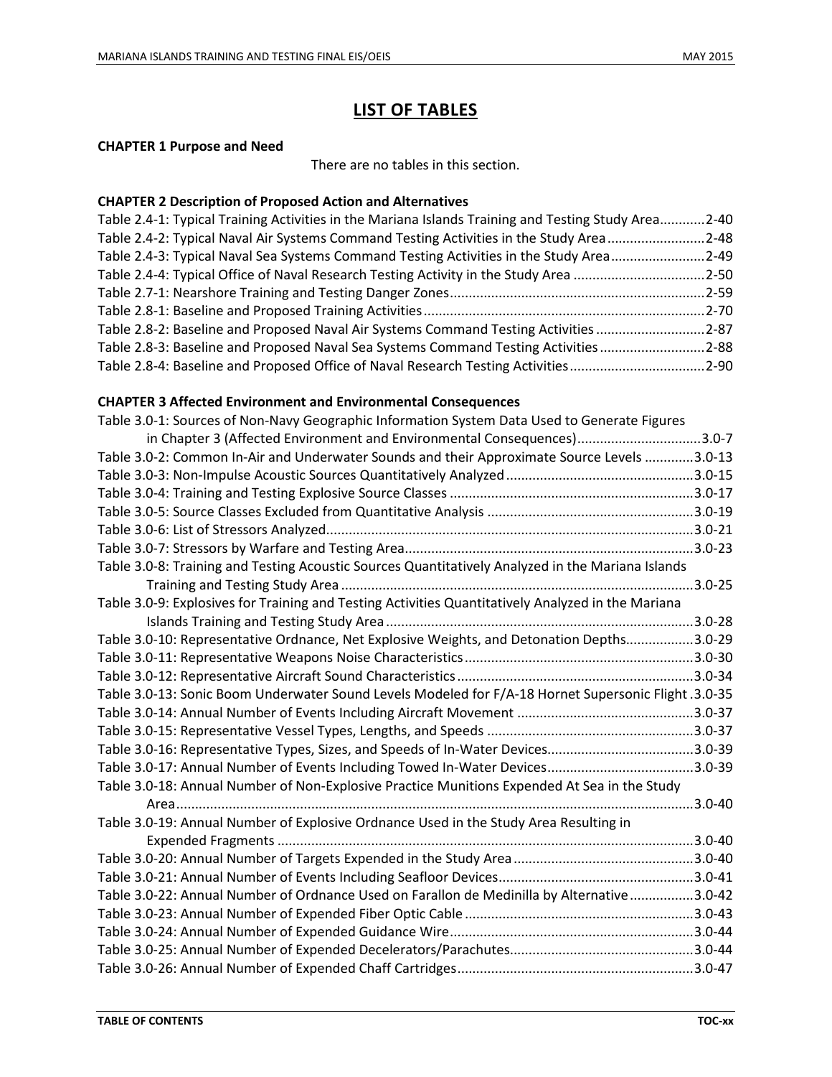# **LIST OF TABLES**

#### **CHAPTER 1 Purpose and Need**

There are no tables in this section.

#### **CHAPTER 2 Description of Proposed Action and Alternatives**

| Table 2.4-1: Typical Training Activities in the Mariana Islands Training and Testing Study Area2-40 |  |
|-----------------------------------------------------------------------------------------------------|--|
| Table 2.4-2: Typical Naval Air Systems Command Testing Activities in the Study Area 2-48            |  |
| Table 2.4-3: Typical Naval Sea Systems Command Testing Activities in the Study Area2-49             |  |
| Table 2.4-4: Typical Office of Naval Research Testing Activity in the Study Area 2-50               |  |
|                                                                                                     |  |
|                                                                                                     |  |
| Table 2.8-2: Baseline and Proposed Naval Air Systems Command Testing Activities 2-87                |  |
| Table 2.8-3: Baseline and Proposed Naval Sea Systems Command Testing Activities2-88                 |  |
| Table 2.8-4: Baseline and Proposed Office of Naval Research Testing Activities2-90                  |  |

#### **CHAPTER 3 Affected Environment and Environmental Consequences**

| Table 3.0-1: Sources of Non-Navy Geographic Information System Data Used to Generate Figures         |             |
|------------------------------------------------------------------------------------------------------|-------------|
| in Chapter 3 (Affected Environment and Environmental Consequences)3.0-7                              |             |
| Table 3.0-2: Common In-Air and Underwater Sounds and their Approximate Source Levels 3.0-13          |             |
|                                                                                                      |             |
|                                                                                                      |             |
|                                                                                                      |             |
|                                                                                                      |             |
|                                                                                                      |             |
| Table 3.0-8: Training and Testing Acoustic Sources Quantitatively Analyzed in the Mariana Islands    |             |
|                                                                                                      |             |
| Table 3.0-9: Explosives for Training and Testing Activities Quantitatively Analyzed in the Mariana   |             |
|                                                                                                      |             |
| Table 3.0-10: Representative Ordnance, Net Explosive Weights, and Detonation Depths3.0-29            |             |
|                                                                                                      |             |
|                                                                                                      |             |
| Table 3.0-13: Sonic Boom Underwater Sound Levels Modeled for F/A-18 Hornet Supersonic Flight .3.0-35 |             |
|                                                                                                      |             |
|                                                                                                      |             |
|                                                                                                      |             |
|                                                                                                      |             |
| Table 3.0-18: Annual Number of Non-Explosive Practice Munitions Expended At Sea in the Study         |             |
|                                                                                                      | $.3.0 - 40$ |
| Table 3.0-19: Annual Number of Explosive Ordnance Used in the Study Area Resulting in                |             |
|                                                                                                      |             |
|                                                                                                      |             |
|                                                                                                      |             |
| Table 3.0-22: Annual Number of Ordnance Used on Farallon de Medinilla by Alternative3.0-42           |             |
|                                                                                                      |             |
|                                                                                                      |             |
|                                                                                                      |             |
|                                                                                                      |             |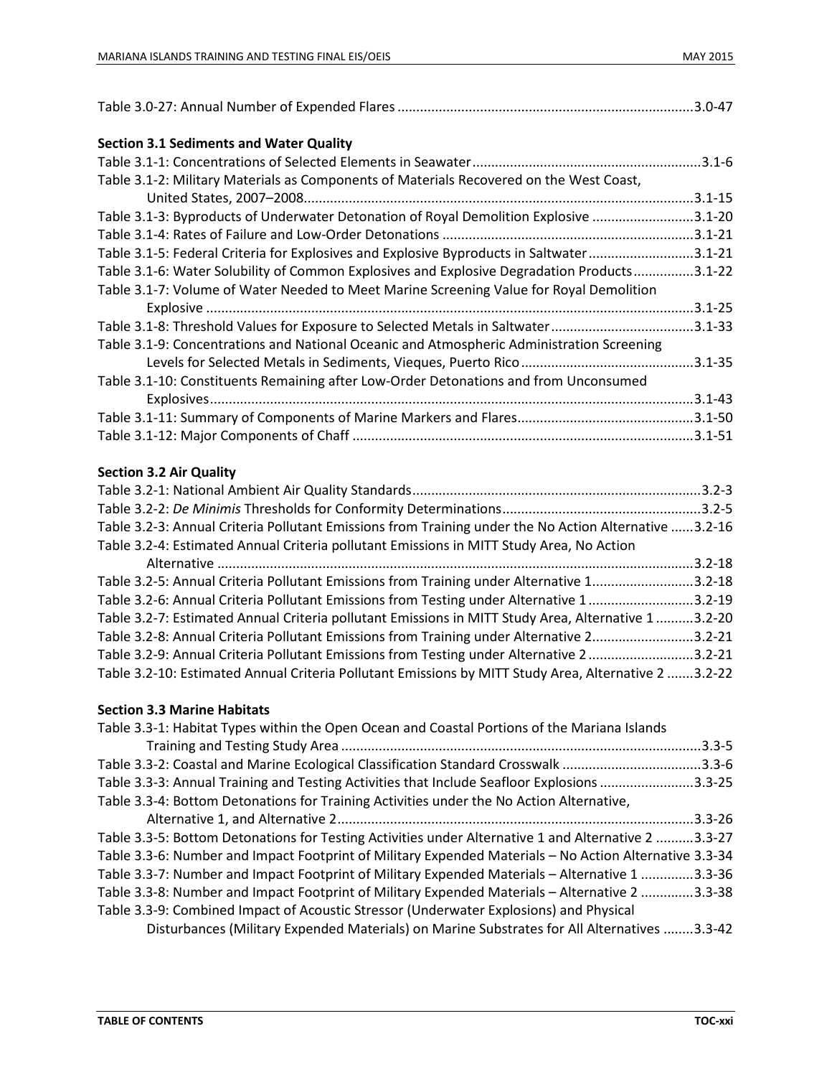| <b>Section 3.1 Sediments and Water Quality</b>                                            |             |
|-------------------------------------------------------------------------------------------|-------------|
|                                                                                           |             |
| Table 3.1-2: Military Materials as Components of Materials Recovered on the West Coast,   |             |
|                                                                                           | $.3.1 - 15$ |
| Table 3.1-3: Byproducts of Underwater Detonation of Royal Demolition Explosive            | $.3.1 - 20$ |
|                                                                                           |             |
| Table 3.1-5: Federal Criteria for Explosives and Explosive Byproducts in Saltwater3.1-21  |             |
| Table 3.1-6: Water Solubility of Common Explosives and Explosive Degradation Products     | $.3.1 - 22$ |
| Table 3.1-7: Volume of Water Needed to Meet Marine Screening Value for Royal Demolition   |             |
|                                                                                           | $.3.1 - 25$ |
| Table 3.1-8: Threshold Values for Exposure to Selected Metals in Saltwater                | $.3.1 - 33$ |
| Table 3.1-9: Concentrations and National Oceanic and Atmospheric Administration Screening |             |
|                                                                                           | $.3.1 - 35$ |
| Table 3.1-10: Constituents Remaining after Low-Order Detonations and from Unconsumed      |             |
|                                                                                           |             |
|                                                                                           |             |
|                                                                                           |             |
| $C_{\alpha}$ at $\alpha \in \mathbb{R}$ $\alpha$ and $\alpha$ and $\alpha$                |             |

#### **Section 3.2 Air Quality**

|                                                                                                       | $.3.2 - 3$  |
|-------------------------------------------------------------------------------------------------------|-------------|
|                                                                                                       |             |
| Table 3.2-3: Annual Criteria Pollutant Emissions from Training under the No Action Alternative 3.2-16 |             |
| Table 3.2-4: Estimated Annual Criteria pollutant Emissions in MITT Study Area, No Action              |             |
|                                                                                                       | $.3.2 - 18$ |
| Table 3.2-5: Annual Criteria Pollutant Emissions from Training under Alternative 13.2-18              |             |
| Table 3.2-6: Annual Criteria Pollutant Emissions from Testing under Alternative 13.2-19               |             |
| Table 3.2-7: Estimated Annual Criteria pollutant Emissions in MITT Study Area, Alternative 1 3.2-20   |             |
| Table 3.2-8: Annual Criteria Pollutant Emissions from Training under Alternative 23.2-21              |             |
| Table 3.2-9: Annual Criteria Pollutant Emissions from Testing under Alternative 23.2-21               |             |
| Table 3.2-10: Estimated Annual Criteria Pollutant Emissions by MITT Study Area, Alternative 2 3.2-22  |             |

#### **Section 3.3 Marine Habitats**

| Table 3.3-1: Habitat Types within the Open Ocean and Coastal Portions of the Mariana Islands           |
|--------------------------------------------------------------------------------------------------------|
| $.3.3 - 5$                                                                                             |
| Table 3.3-2: Coastal and Marine Ecological Classification Standard Crosswalk 3.3-6                     |
| Table 3.3-3: Annual Training and Testing Activities that Include Seafloor Explosions 3.3-25            |
| Table 3.3-4: Bottom Detonations for Training Activities under the No Action Alternative,               |
| $.3.3 - 26$                                                                                            |
| Table 3.3-5: Bottom Detonations for Testing Activities under Alternative 1 and Alternative 2 3.3-27    |
| Table 3.3-6: Number and Impact Footprint of Military Expended Materials - No Action Alternative 3.3-34 |
| Table 3.3-7: Number and Impact Footprint of Military Expended Materials - Alternative 1 3.3-36         |
| Table 3.3-8: Number and Impact Footprint of Military Expended Materials - Alternative 2 3.3-38         |
| Table 3.3-9: Combined Impact of Acoustic Stressor (Underwater Explosions) and Physical                 |
| Disturbances (Military Expended Materials) on Marine Substrates for All Alternatives 3.3-42            |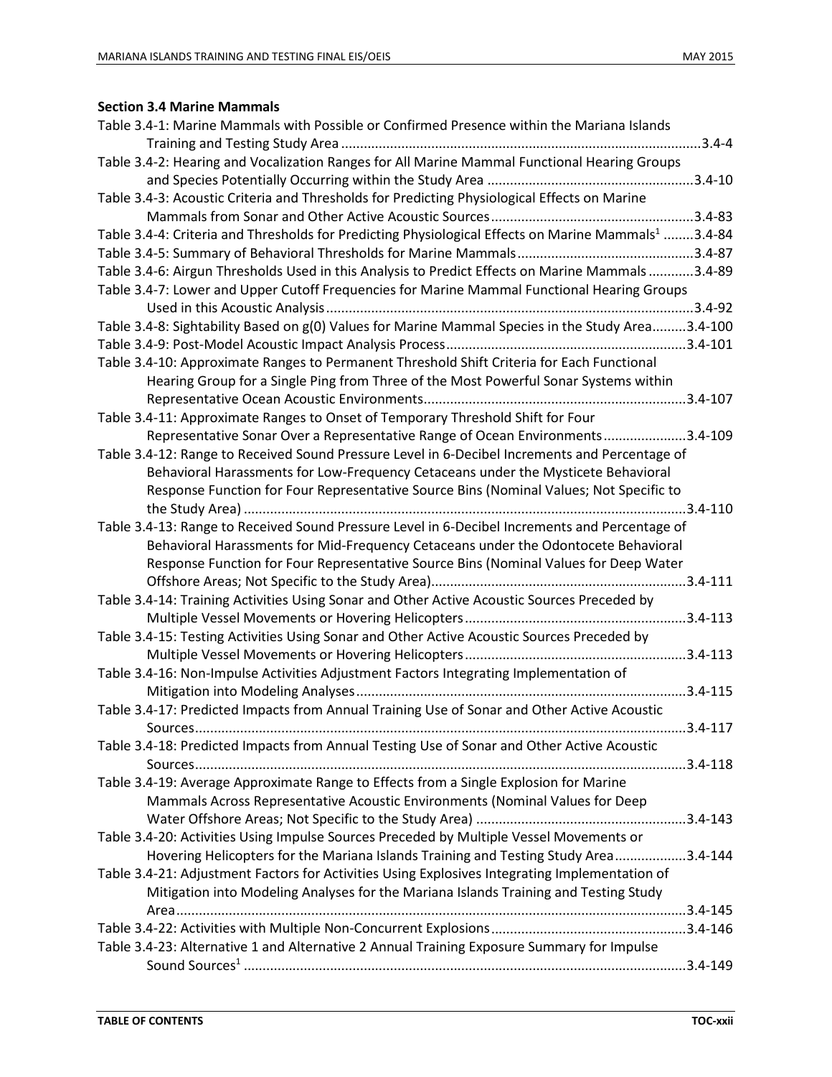## **Section 3.4 Marine Mammals**

| Table 3.4-1: Marine Mammals with Possible or Confirmed Presence within the Mariana Islands                      |  |
|-----------------------------------------------------------------------------------------------------------------|--|
|                                                                                                                 |  |
| Table 3.4-2: Hearing and Vocalization Ranges for All Marine Mammal Functional Hearing Groups                    |  |
|                                                                                                                 |  |
| Table 3.4-3: Acoustic Criteria and Thresholds for Predicting Physiological Effects on Marine                    |  |
|                                                                                                                 |  |
| Table 3.4-4: Criteria and Thresholds for Predicting Physiological Effects on Marine Mammals <sup>1</sup> 3.4-84 |  |
|                                                                                                                 |  |
| Table 3.4-6: Airgun Thresholds Used in this Analysis to Predict Effects on Marine Mammals3.4-89                 |  |
| Table 3.4-7: Lower and Upper Cutoff Frequencies for Marine Mammal Functional Hearing Groups                     |  |
|                                                                                                                 |  |
| Table 3.4-8: Sightability Based on g(0) Values for Marine Mammal Species in the Study Area3.4-100               |  |
|                                                                                                                 |  |
| Table 3.4-10: Approximate Ranges to Permanent Threshold Shift Criteria for Each Functional                      |  |
| Hearing Group for a Single Ping from Three of the Most Powerful Sonar Systems within                            |  |
|                                                                                                                 |  |
| Table 3.4-11: Approximate Ranges to Onset of Temporary Threshold Shift for Four                                 |  |
| Representative Sonar Over a Representative Range of Ocean Environments3.4-109                                   |  |
| Table 3.4-12: Range to Received Sound Pressure Level in 6-Decibel Increments and Percentage of                  |  |
| Behavioral Harassments for Low-Frequency Cetaceans under the Mysticete Behavioral                               |  |
| Response Function for Four Representative Source Bins (Nominal Values; Not Specific to                          |  |
|                                                                                                                 |  |
| Table 3.4-13: Range to Received Sound Pressure Level in 6-Decibel Increments and Percentage of                  |  |
| Behavioral Harassments for Mid-Frequency Cetaceans under the Odontocete Behavioral                              |  |
| Response Function for Four Representative Source Bins (Nominal Values for Deep Water                            |  |
|                                                                                                                 |  |
| Table 3.4-14: Training Activities Using Sonar and Other Active Acoustic Sources Preceded by                     |  |
|                                                                                                                 |  |
| Table 3.4-15: Testing Activities Using Sonar and Other Active Acoustic Sources Preceded by                      |  |
|                                                                                                                 |  |
| Table 3.4-16: Non-Impulse Activities Adjustment Factors Integrating Implementation of                           |  |
|                                                                                                                 |  |
| Table 3.4-17: Predicted Impacts from Annual Training Use of Sonar and Other Active Acoustic                     |  |
|                                                                                                                 |  |
| Table 3.4-18: Predicted Impacts from Annual Testing Use of Sonar and Other Active Acoustic                      |  |
|                                                                                                                 |  |
| Table 3.4-19: Average Approximate Range to Effects from a Single Explosion for Marine                           |  |
| Mammals Across Representative Acoustic Environments (Nominal Values for Deep                                    |  |
|                                                                                                                 |  |
| Table 3.4-20: Activities Using Impulse Sources Preceded by Multiple Vessel Movements or                         |  |
| Hovering Helicopters for the Mariana Islands Training and Testing Study Area3.4-144                             |  |
| Table 3.4-21: Adjustment Factors for Activities Using Explosives Integrating Implementation of                  |  |
| Mitigation into Modeling Analyses for the Mariana Islands Training and Testing Study                            |  |
|                                                                                                                 |  |
|                                                                                                                 |  |
| Table 3.4-23: Alternative 1 and Alternative 2 Annual Training Exposure Summary for Impulse                      |  |
|                                                                                                                 |  |
|                                                                                                                 |  |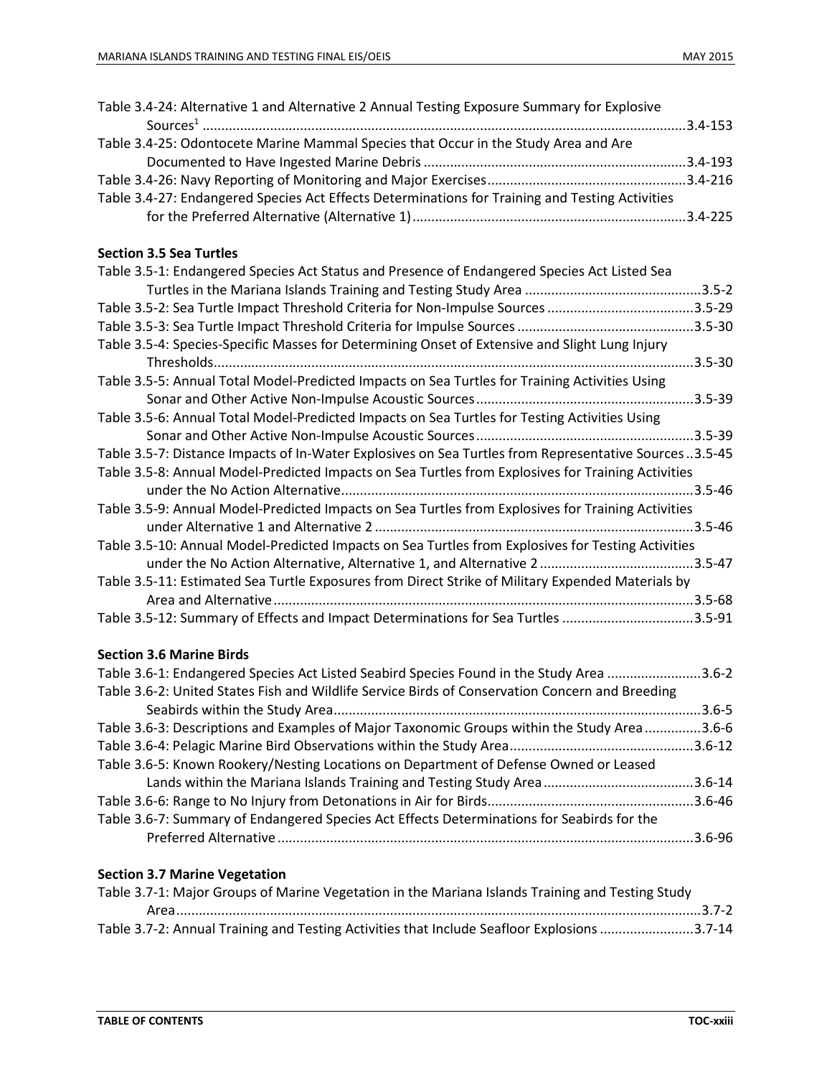| Table 3.4-24: Alternative 1 and Alternative 2 Annual Testing Exposure Summary for Explosive     |  |
|-------------------------------------------------------------------------------------------------|--|
|                                                                                                 |  |
| Table 3.4-25: Odontocete Marine Mammal Species that Occur in the Study Area and Are             |  |
|                                                                                                 |  |
|                                                                                                 |  |
| Table 3.4-27: Endangered Species Act Effects Determinations for Training and Testing Activities |  |
|                                                                                                 |  |
|                                                                                                 |  |

#### **Section 3.5 Sea Turtles**

| Table 3.5-1: Endangered Species Act Status and Presence of Endangered Species Act Listed Sea          |             |
|-------------------------------------------------------------------------------------------------------|-------------|
|                                                                                                       |             |
| Table 3.5-2: Sea Turtle Impact Threshold Criteria for Non-Impulse Sources                             | $.3.5 - 29$ |
|                                                                                                       | $.3.5 - 30$ |
| Table 3.5-4: Species-Specific Masses for Determining Onset of Extensive and Slight Lung Injury        |             |
|                                                                                                       | $.3.5 - 30$ |
| Table 3.5-5: Annual Total Model-Predicted Impacts on Sea Turtles for Training Activities Using        |             |
|                                                                                                       | .3.5-39     |
| Table 3.5-6: Annual Total Model-Predicted Impacts on Sea Turtles for Testing Activities Using         |             |
|                                                                                                       | $.3.5 - 39$ |
| Table 3.5-7: Distance Impacts of In-Water Explosives on Sea Turtles from Representative Sources3.5-45 |             |
| Table 3.5-8: Annual Model-Predicted Impacts on Sea Turtles from Explosives for Training Activities    |             |
|                                                                                                       |             |
| Table 3.5-9: Annual Model-Predicted Impacts on Sea Turtles from Explosives for Training Activities    |             |
|                                                                                                       |             |
| Table 3.5-10: Annual Model-Predicted Impacts on Sea Turtles from Explosives for Testing Activities    |             |
|                                                                                                       |             |
| Table 3.5-11: Estimated Sea Turtle Exposures from Direct Strike of Military Expended Materials by     |             |
|                                                                                                       |             |
| Table 3.5-12: Summary of Effects and Impact Determinations for Sea Turtles 3.5-91                     |             |

#### **Section 3.6 Marine Birds**

| Table 3.6-1: Endangered Species Act Listed Seabird Species Found in the Study Area 3.6-2     |
|----------------------------------------------------------------------------------------------|
|                                                                                              |
|                                                                                              |
| Table 3.6-3: Descriptions and Examples of Major Taxonomic Groups within the Study Area 3.6-6 |
|                                                                                              |
|                                                                                              |
|                                                                                              |
|                                                                                              |
|                                                                                              |
|                                                                                              |
|                                                                                              |

## **Section 3.7 Marine Vegetation**

| Table 3.7-1: Major Groups of Marine Vegetation in the Mariana Islands Training and Testing Study |  |
|--------------------------------------------------------------------------------------------------|--|
|                                                                                                  |  |
| Table 3.7-2: Annual Training and Testing Activities that Include Seafloor Explosions 3.7-14      |  |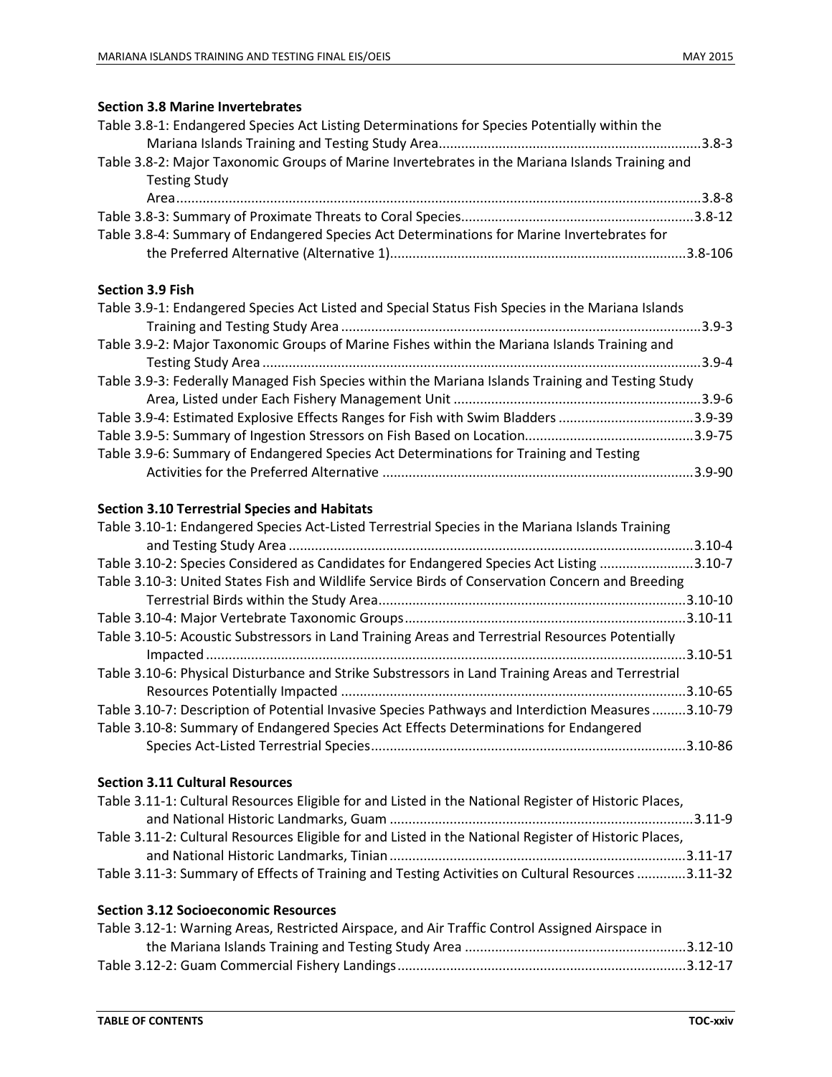### **Section 3.8 Marine Invertebrates**

| Table 3.8-1: Endangered Species Act Listing Determinations for Species Potentially within the                           |            |
|-------------------------------------------------------------------------------------------------------------------------|------------|
| Table 3.8-2: Major Taxonomic Groups of Marine Invertebrates in the Mariana Islands Training and<br><b>Testing Study</b> |            |
|                                                                                                                         |            |
| Table 3.8-4: Summary of Endangered Species Act Determinations for Marine Invertebrates for                              |            |
| <b>Section 3.9 Fish</b>                                                                                                 |            |
| Table 3.9-1: Endangered Species Act Listed and Special Status Fish Species in the Mariana Islands                       | $.3.9 - 3$ |
| Table 3.9-2: Major Taxonomic Groups of Marine Fishes within the Mariana Islands Training and                            |            |
|                                                                                                                         | $3.9 - 4$  |
| Table 3.9-3: Federally Managed Fish Species within the Mariana Islands Training and Testing Study                       |            |
|                                                                                                                         |            |
| Table 3.9-4: Estimated Explosive Effects Ranges for Fish with Swim Bladders 3.9-39                                      |            |
|                                                                                                                         |            |
| Table 3.9-6: Summary of Endangered Species Act Determinations for Training and Testing                                  |            |

#### **Section 3.10 Terrestrial Species and Habitats**

| Table 3.10-1: Endangered Species Act-Listed Terrestrial Species in the Mariana Islands Training    |              |
|----------------------------------------------------------------------------------------------------|--------------|
|                                                                                                    | $.3.10 - 4$  |
| Table 3.10-2: Species Considered as Candidates for Endangered Species Act Listing 3.10-7           |              |
| Table 3.10-3: United States Fish and Wildlife Service Birds of Conservation Concern and Breeding   |              |
|                                                                                                    |              |
|                                                                                                    |              |
| Table 3.10-5: Acoustic Substressors in Land Training Areas and Terrestrial Resources Potentially   |              |
|                                                                                                    |              |
| Table 3.10-6: Physical Disturbance and Strike Substressors in Land Training Areas and Terrestrial  |              |
|                                                                                                    | $.3.10 - 65$ |
| Table 3.10-7: Description of Potential Invasive Species Pathways and Interdiction Measures 3.10-79 |              |
| Table 3.10-8: Summary of Endangered Species Act Effects Determinations for Endangered              |              |
|                                                                                                    |              |

Activities for the Preferred Alternative ...................................................................................3.9-90

#### **Section 3.11 Cultural Resources**

| Table 3.11-1: Cultural Resources Eligible for and Listed in the National Register of Historic Places, |  |
|-------------------------------------------------------------------------------------------------------|--|
|                                                                                                       |  |
| Table 3.11-2: Cultural Resources Eligible for and Listed in the National Register of Historic Places, |  |
|                                                                                                       |  |
| Table 3.11-3: Summary of Effects of Training and Testing Activities on Cultural Resources 3.11-32     |  |

#### **Section 3.12 Socioeconomic Resources**

| Table 3.12-1: Warning Areas, Restricted Airspace, and Air Traffic Control Assigned Airspace in |  |
|------------------------------------------------------------------------------------------------|--|
|                                                                                                |  |
|                                                                                                |  |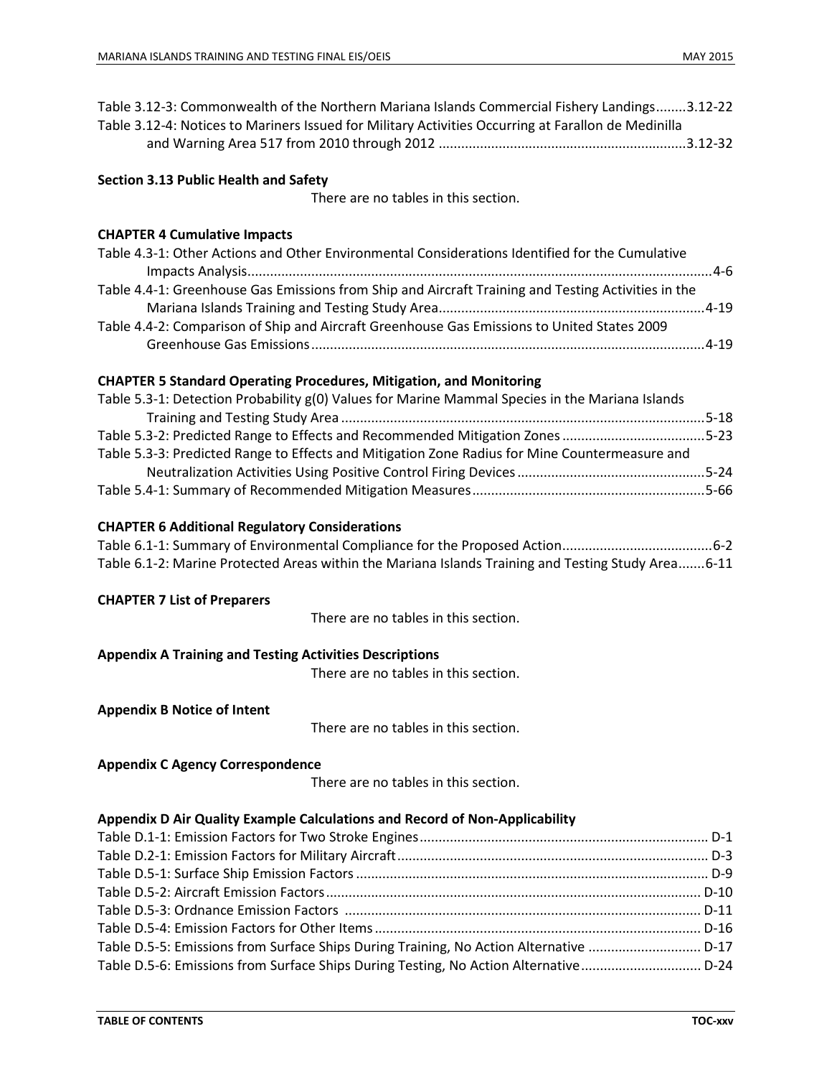| Table 3.12-3: Commonwealth of the Northern Mariana Islands Commercial Fishery Landings3.12-22<br>Table 3.12-4: Notices to Mariners Issued for Military Activities Occurring at Farallon de Medinilla |  |
|------------------------------------------------------------------------------------------------------------------------------------------------------------------------------------------------------|--|
| <b>Section 3.13 Public Health and Safety</b><br>There are no tables in this section.                                                                                                                 |  |
|                                                                                                                                                                                                      |  |
| <b>CHAPTER 4 Cumulative Impacts</b>                                                                                                                                                                  |  |
| Table 4.3-1: Other Actions and Other Environmental Considerations Identified for the Cumulative                                                                                                      |  |
| Table 4.4-1: Greenhouse Gas Emissions from Ship and Aircraft Training and Testing Activities in the                                                                                                  |  |
| Table 4.4-2: Comparison of Ship and Aircraft Greenhouse Gas Emissions to United States 2009                                                                                                          |  |
| <b>CHAPTER 5 Standard Operating Procedures, Mitigation, and Monitoring</b>                                                                                                                           |  |
| Table 5.3-1: Detection Probability g(0) Values for Marine Mammal Species in the Mariana Islands                                                                                                      |  |
|                                                                                                                                                                                                      |  |
| Table 5.3-2: Predicted Range to Effects and Recommended Mitigation Zones 5-23                                                                                                                        |  |
| Table 5.3-3: Predicted Range to Effects and Mitigation Zone Radius for Mine Countermeasure and                                                                                                       |  |
|                                                                                                                                                                                                      |  |
|                                                                                                                                                                                                      |  |
| <b>CHAPTER 6 Additional Regulatory Considerations</b>                                                                                                                                                |  |
|                                                                                                                                                                                                      |  |
| Table 6.1-2: Marine Protected Areas within the Mariana Islands Training and Testing Study Area 6-11                                                                                                  |  |
| <b>CHAPTER 7 List of Preparers</b>                                                                                                                                                                   |  |
| There are no tables in this section.                                                                                                                                                                 |  |
| <b>Appendix A Training and Testing Activities Descriptions</b>                                                                                                                                       |  |
| There are no tables in this section.                                                                                                                                                                 |  |
| <b>Appendix B Notice of Intent</b>                                                                                                                                                                   |  |
| There are no tables in this section.                                                                                                                                                                 |  |
| <b>Appendix C Agency Correspondence</b>                                                                                                                                                              |  |
| There are no tables in this section.                                                                                                                                                                 |  |
| Appendix D Air Quality Example Calculations and Record of Non-Applicability                                                                                                                          |  |
|                                                                                                                                                                                                      |  |
|                                                                                                                                                                                                      |  |
|                                                                                                                                                                                                      |  |
|                                                                                                                                                                                                      |  |
|                                                                                                                                                                                                      |  |
|                                                                                                                                                                                                      |  |
| Table D.5-5: Emissions from Surface Ships During Training, No Action Alternative  D-17                                                                                                               |  |
| Table D.5-6: Emissions from Surface Ships During Testing, No Action Alternative D-24                                                                                                                 |  |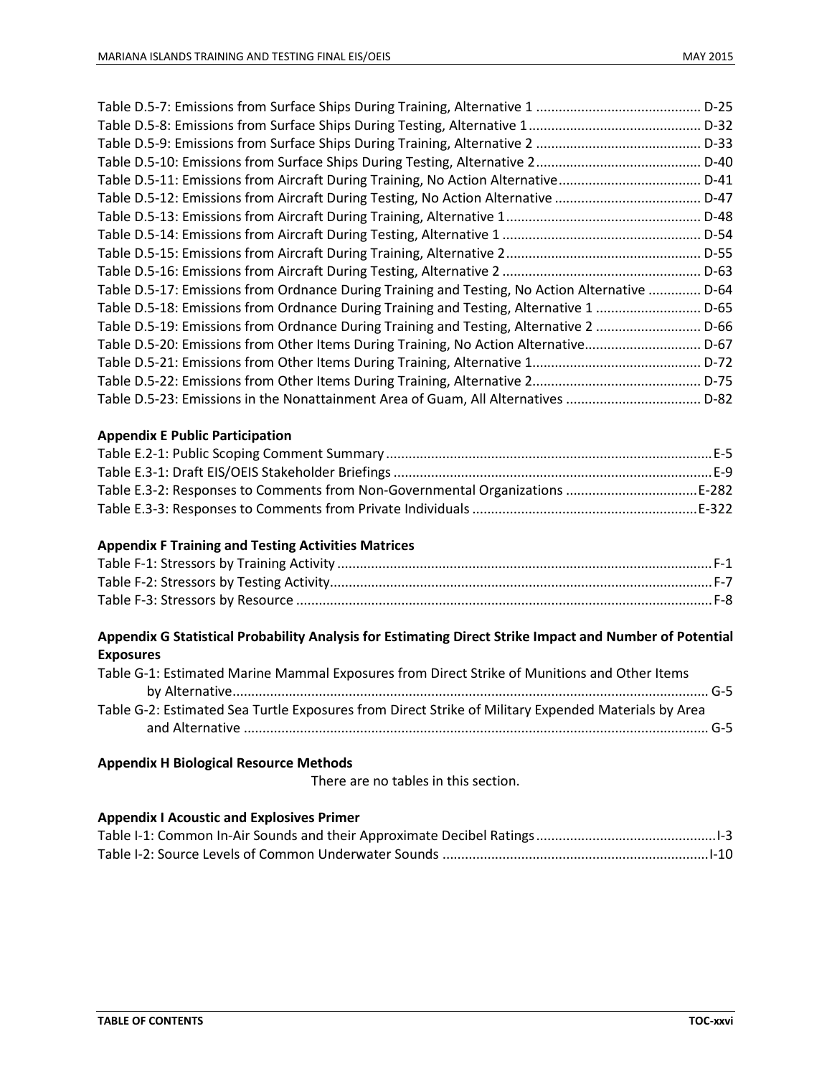|                                                                                          | $D-25$   |
|------------------------------------------------------------------------------------------|----------|
|                                                                                          | D-32     |
|                                                                                          | D-33     |
|                                                                                          | $D-40$   |
| Table D.5-11: Emissions from Aircraft During Training, No Action Alternative             | .D-41    |
| Table D.5-12: Emissions from Aircraft During Testing, No Action Alternative              | $. D-47$ |
|                                                                                          | $. D-48$ |
|                                                                                          | .D-54    |
|                                                                                          | $. D-55$ |
|                                                                                          |          |
| Table D.5-17: Emissions from Ordnance During Training and Testing, No Action Alternative | D-64     |
| Table D.5-18: Emissions from Ordnance During Training and Testing, Alternative 1         | $D-65$   |
| Table D.5-19: Emissions from Ordnance During Training and Testing, Alternative 2         | .D-66    |
| Table D.5-20: Emissions from Other Items During Training, No Action Alternative          | $. D-67$ |
|                                                                                          |          |
|                                                                                          |          |
| Table D.5-23: Emissions in the Nonattainment Area of Guam, All Alternatives  D-82        |          |

#### **Appendix E Public Participation**

| Table E.3-2: Responses to Comments from Non-Governmental Organizations E-282 |  |
|------------------------------------------------------------------------------|--|
|                                                                              |  |

#### **Appendix F Training and Testing Activities Matrices**

### **Appendix G Statistical Probability Analysis for Estimating Direct Strike Impact and Number of Potential Exposures**

| Table G-1: Estimated Marine Mammal Exposures from Direct Strike of Munitions and Other Items        |  |
|-----------------------------------------------------------------------------------------------------|--|
|                                                                                                     |  |
| Table G-2: Estimated Sea Turtle Exposures from Direct Strike of Military Expended Materials by Area |  |
|                                                                                                     |  |

## **Appendix H Biological Resource Methods**

There are no tables in this section.

#### **Appendix I Acoustic and Explosives Primer**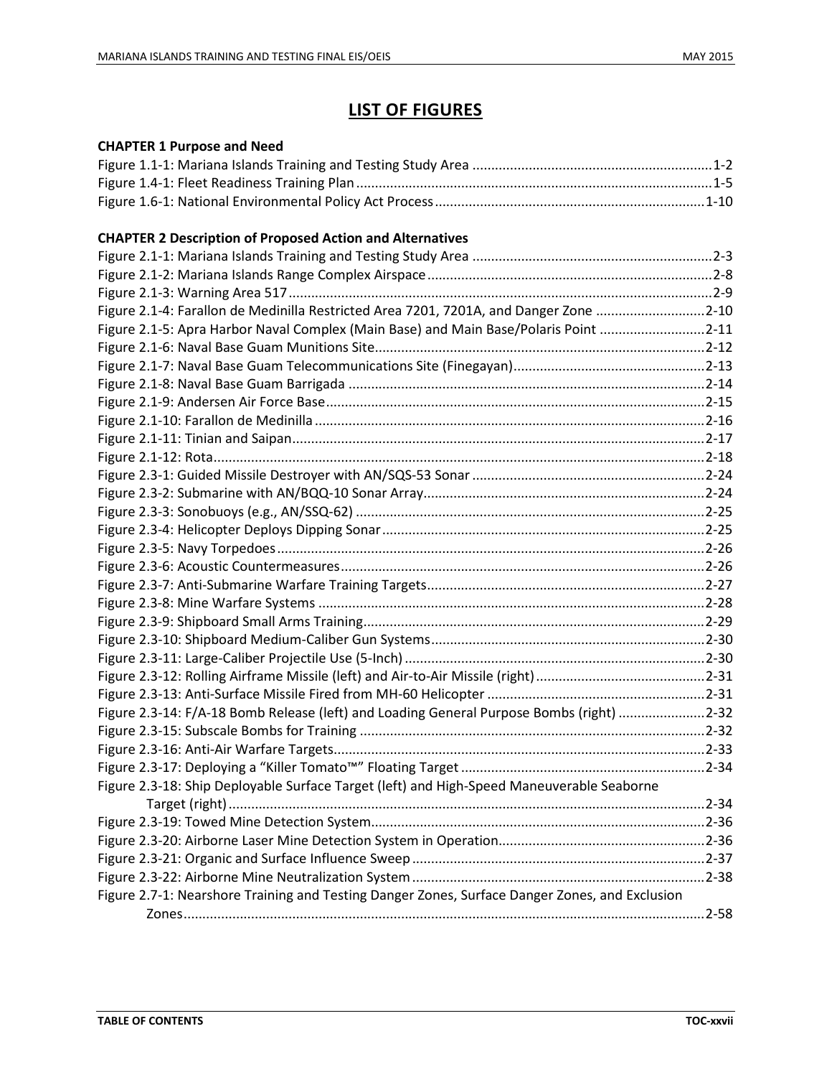## **LIST OF FIGURES**

## **CHAPTER 1 Purpose and Need**

#### **CHAPTER 2 Description of Proposed Action and Alternatives**

| Figure 2.1-4: Farallon de Medinilla Restricted Area 7201, 7201A, and Danger Zone 2-10          |  |
|------------------------------------------------------------------------------------------------|--|
| Figure 2.1-5: Apra Harbor Naval Complex (Main Base) and Main Base/Polaris Point 2-11           |  |
|                                                                                                |  |
|                                                                                                |  |
|                                                                                                |  |
|                                                                                                |  |
|                                                                                                |  |
|                                                                                                |  |
|                                                                                                |  |
|                                                                                                |  |
|                                                                                                |  |
|                                                                                                |  |
|                                                                                                |  |
|                                                                                                |  |
|                                                                                                |  |
|                                                                                                |  |
|                                                                                                |  |
|                                                                                                |  |
|                                                                                                |  |
|                                                                                                |  |
|                                                                                                |  |
|                                                                                                |  |
| Figure 2.3-14: F/A-18 Bomb Release (left) and Loading General Purpose Bombs (right) 2-32       |  |
|                                                                                                |  |
|                                                                                                |  |
|                                                                                                |  |
| Figure 2.3-18: Ship Deployable Surface Target (left) and High-Speed Maneuverable Seaborne      |  |
|                                                                                                |  |
|                                                                                                |  |
|                                                                                                |  |
|                                                                                                |  |
|                                                                                                |  |
| Figure 2.7-1: Nearshore Training and Testing Danger Zones, Surface Danger Zones, and Exclusion |  |
|                                                                                                |  |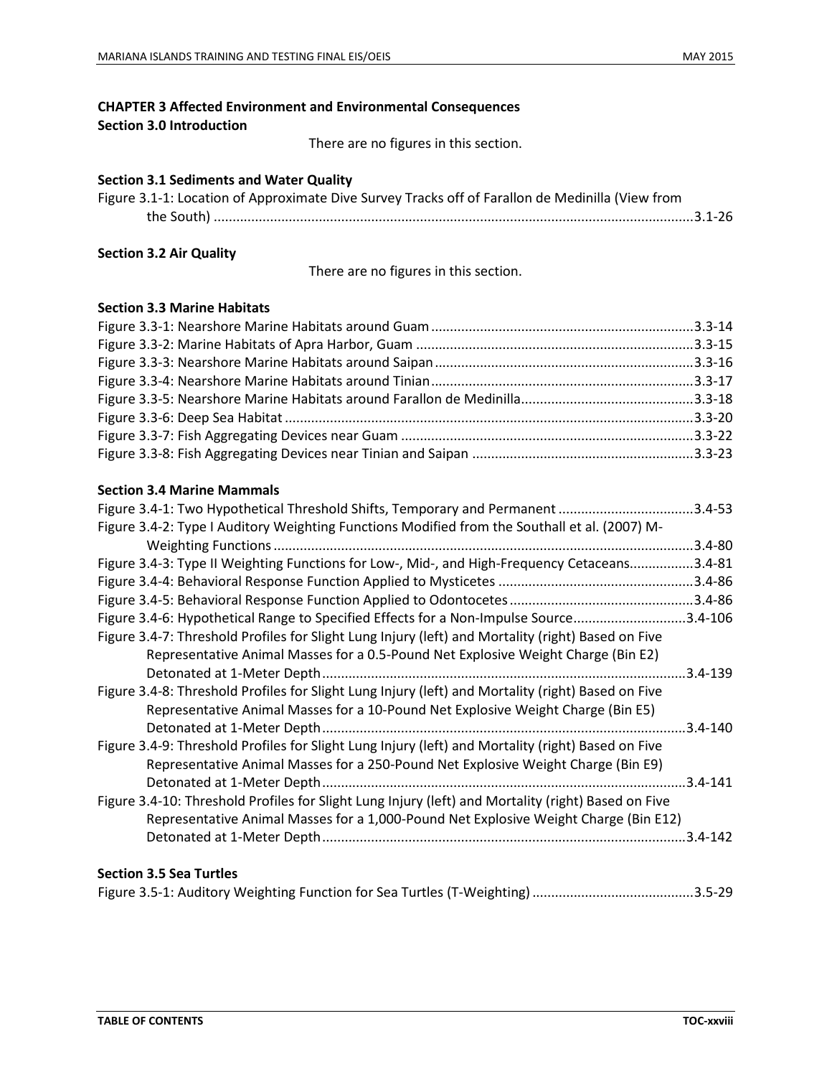## **CHAPTER 3 Affected Environment and Environmental Consequences**

**Section 3.0 Introduction**

There are no figures in this section.

#### **Section 3.1 Sediments and Water Quality**

| Figure 3.1-1: Location of Approximate Dive Survey Tracks off of Farallon de Medinilla (View from |  |
|--------------------------------------------------------------------------------------------------|--|
|                                                                                                  |  |

### **Section 3.2 Air Quality**

There are no figures in this section.

#### **Section 3.3 Marine Habitats**

#### **Section 3.4 Marine Mammals**

| Figure 3.4-1: Two Hypothetical Threshold Shifts, Temporary and Permanent 3.4-53                                                                                                         |              |
|-----------------------------------------------------------------------------------------------------------------------------------------------------------------------------------------|--------------|
| Figure 3.4-2: Type I Auditory Weighting Functions Modified from the Southall et al. (2007) M-                                                                                           |              |
|                                                                                                                                                                                         | .3.4-80      |
| Figure 3.4-3: Type II Weighting Functions for Low-, Mid-, and High-Frequency Cetaceans                                                                                                  | $3.4 - 81$   |
|                                                                                                                                                                                         | .3.4-86      |
|                                                                                                                                                                                         |              |
| Figure 3.4-6: Hypothetical Range to Specified Effects for a Non-Impulse Source3.4-106                                                                                                   |              |
| Figure 3.4-7: Threshold Profiles for Slight Lung Injury (left) and Mortality (right) Based on Five<br>Representative Animal Masses for a 0.5-Pound Net Explosive Weight Charge (Bin E2) |              |
|                                                                                                                                                                                         | $3.4 - 139$  |
| Figure 3.4-8: Threshold Profiles for Slight Lung Injury (left) and Mortality (right) Based on Five                                                                                      |              |
| Representative Animal Masses for a 10-Pound Net Explosive Weight Charge (Bin E5)                                                                                                        |              |
|                                                                                                                                                                                         | $3.4 - 140$  |
| Figure 3.4-9: Threshold Profiles for Slight Lung Injury (left) and Mortality (right) Based on Five<br>Representative Animal Masses for a 250-Pound Net Explosive Weight Charge (Bin E9) |              |
|                                                                                                                                                                                         | $.3.4 - 141$ |
| Figure 3.4-10: Threshold Profiles for Slight Lung Injury (left) and Mortality (right) Based on Five                                                                                     |              |
| Representative Animal Masses for a 1,000-Pound Net Explosive Weight Charge (Bin E12)                                                                                                    |              |
|                                                                                                                                                                                         | $.3.4 - 142$ |
| <b>Section 3.5 Sea Turtles</b>                                                                                                                                                          |              |

## Figure 3.5-1: Auditory Weighting Function for Sea Turtles (T-Weighting)...........................................3.5-29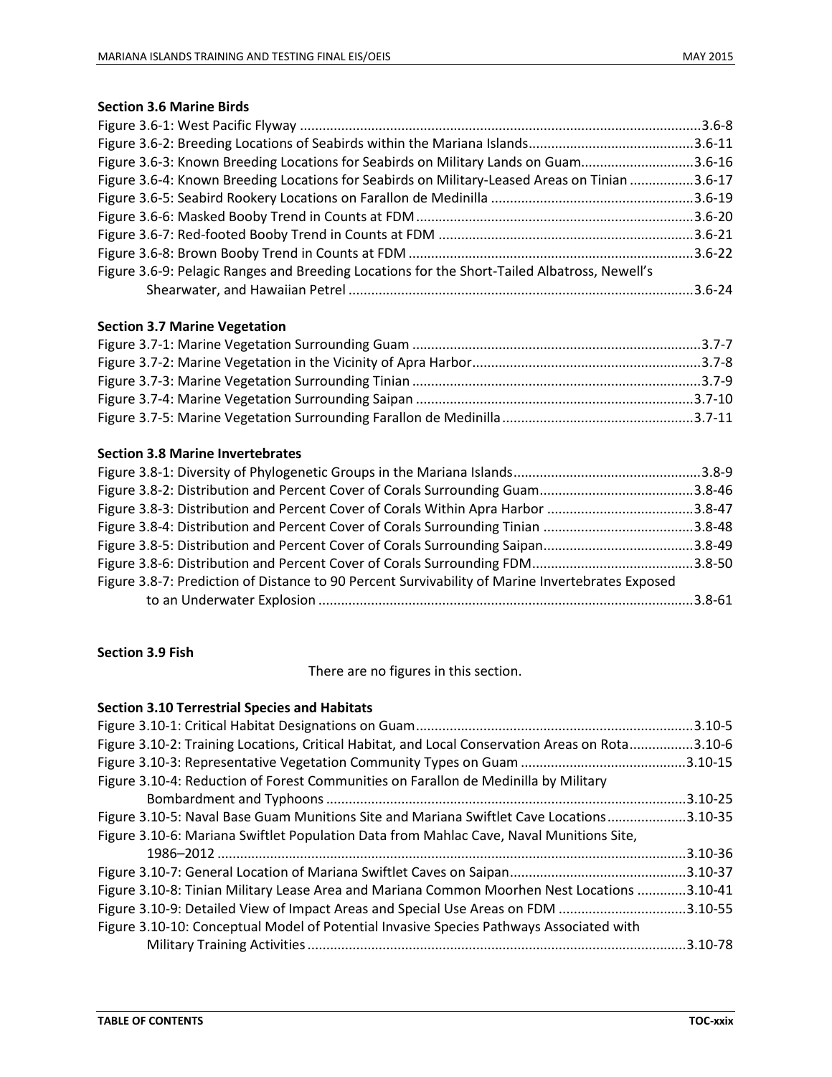## **Section 3.6 Marine Birds**

| Figure 3.6-3: Known Breeding Locations for Seabirds on Military Lands on Guam3.6-16           |  |
|-----------------------------------------------------------------------------------------------|--|
| Figure 3.6-4: Known Breeding Locations for Seabirds on Military-Leased Areas on Tinian 3.6-17 |  |
|                                                                                               |  |
|                                                                                               |  |
|                                                                                               |  |
|                                                                                               |  |
| Figure 3.6-9: Pelagic Ranges and Breeding Locations for the Short-Tailed Albatross, Newell's  |  |
|                                                                                               |  |

## **Section 3.7 Marine Vegetation**

#### **Section 3.8 Marine Invertebrates**

| Figure 3.8-7: Prediction of Distance to 90 Percent Survivability of Marine Invertebrates Exposed |  |
|--------------------------------------------------------------------------------------------------|--|
|                                                                                                  |  |

## **Section 3.9 Fish**

There are no figures in this section.

#### **Section 3.10 Terrestrial Species and Habitats**

|                                                                                                 | .3.10-5  |
|-------------------------------------------------------------------------------------------------|----------|
| Figure 3.10-2: Training Locations, Critical Habitat, and Local Conservation Areas on Rota3.10-6 |          |
|                                                                                                 |          |
| Figure 3.10-4: Reduction of Forest Communities on Farallon de Medinilla by Military             |          |
|                                                                                                 |          |
| Figure 3.10-5: Naval Base Guam Munitions Site and Mariana Swiftlet Cave Locations3.10-35        |          |
| Figure 3.10-6: Mariana Swiftlet Population Data from Mahlac Cave, Naval Munitions Site,         |          |
|                                                                                                 | .3.10-36 |
|                                                                                                 |          |
| Figure 3.10-8: Tinian Military Lease Area and Mariana Common Moorhen Nest Locations 3.10-41     |          |
| Figure 3.10-9: Detailed View of Impact Areas and Special Use Areas on FDM 3.10-55               |          |
| Figure 3.10-10: Conceptual Model of Potential Invasive Species Pathways Associated with         |          |
|                                                                                                 |          |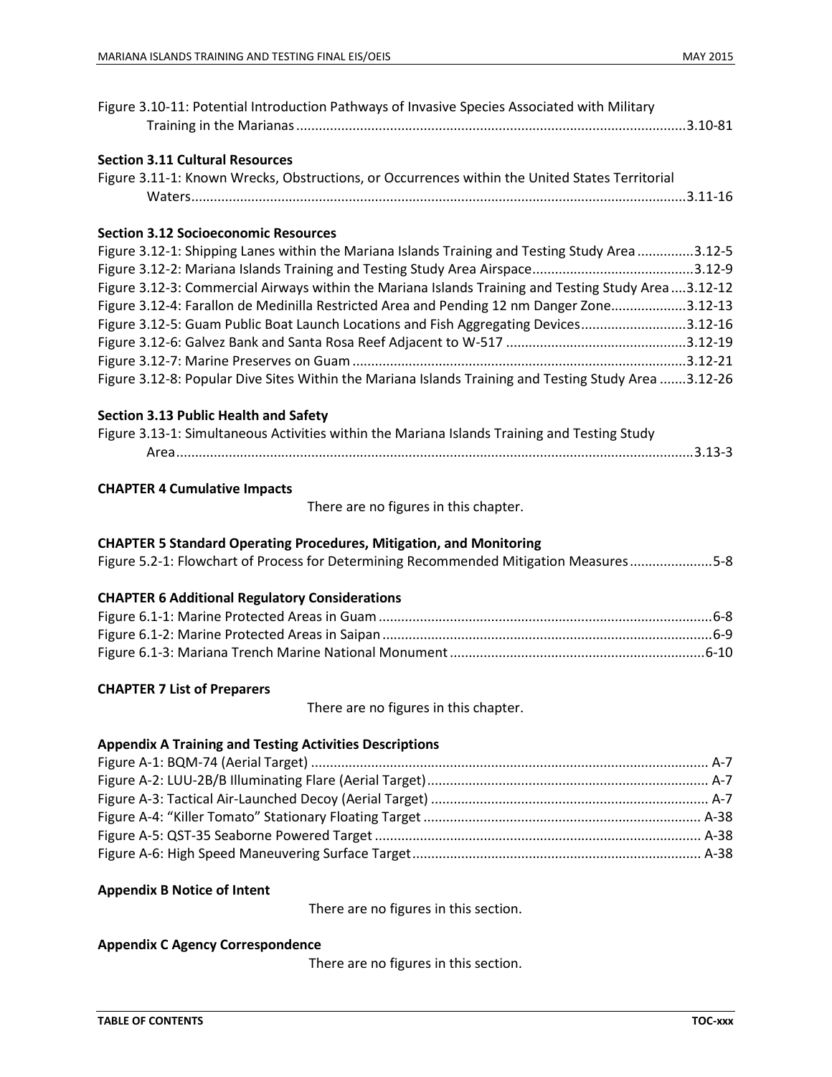| Figure 3.10-11: Potential Introduction Pathways of Invasive Species Associated with Military         |
|------------------------------------------------------------------------------------------------------|
| <b>Section 3.11 Cultural Resources</b>                                                               |
| Figure 3.11-1: Known Wrecks, Obstructions, or Occurrences within the United States Territorial       |
|                                                                                                      |
|                                                                                                      |
| <b>Section 3.12 Socioeconomic Resources</b>                                                          |
| Figure 3.12-1: Shipping Lanes within the Mariana Islands Training and Testing Study Area 3.12-5      |
|                                                                                                      |
| Figure 3.12-3: Commercial Airways within the Mariana Islands Training and Testing Study Area3.12-12  |
| Figure 3.12-4: Farallon de Medinilla Restricted Area and Pending 12 nm Danger Zone3.12-13            |
| Figure 3.12-5: Guam Public Boat Launch Locations and Fish Aggregating Devices3.12-16                 |
|                                                                                                      |
|                                                                                                      |
| Figure 3.12-8: Popular Dive Sites Within the Mariana Islands Training and Testing Study Area 3.12-26 |
| <b>Section 3.13 Public Health and Safety</b>                                                         |
| Figure 3.13-1: Simultaneous Activities within the Mariana Islands Training and Testing Study         |
|                                                                                                      |
| <b>CHAPTER 4 Cumulative Impacts</b>                                                                  |
| There are no figures in this chapter.                                                                |
| <b>CHAPTER 5 Standard Operating Procedures, Mitigation, and Monitoring</b>                           |
| Figure 5.2-1: Flowchart of Process for Determining Recommended Mitigation Measures5-8                |
| <b>CHAPTER 6 Additional Regulatory Considerations</b>                                                |
|                                                                                                      |
|                                                                                                      |
|                                                                                                      |
| <b>CHAPTER 7 List of Preparers</b>                                                                   |
| There are no figures in this chapter.                                                                |
| <b>Appendix A Training and Testing Activities Descriptions</b>                                       |
|                                                                                                      |
|                                                                                                      |
|                                                                                                      |
|                                                                                                      |
|                                                                                                      |
|                                                                                                      |
|                                                                                                      |
| <b>Appendix B Notice of Intent</b>                                                                   |
| There are no figures in this section.                                                                |

## **Appendix C Agency Correspondence**

There are no figures in this section.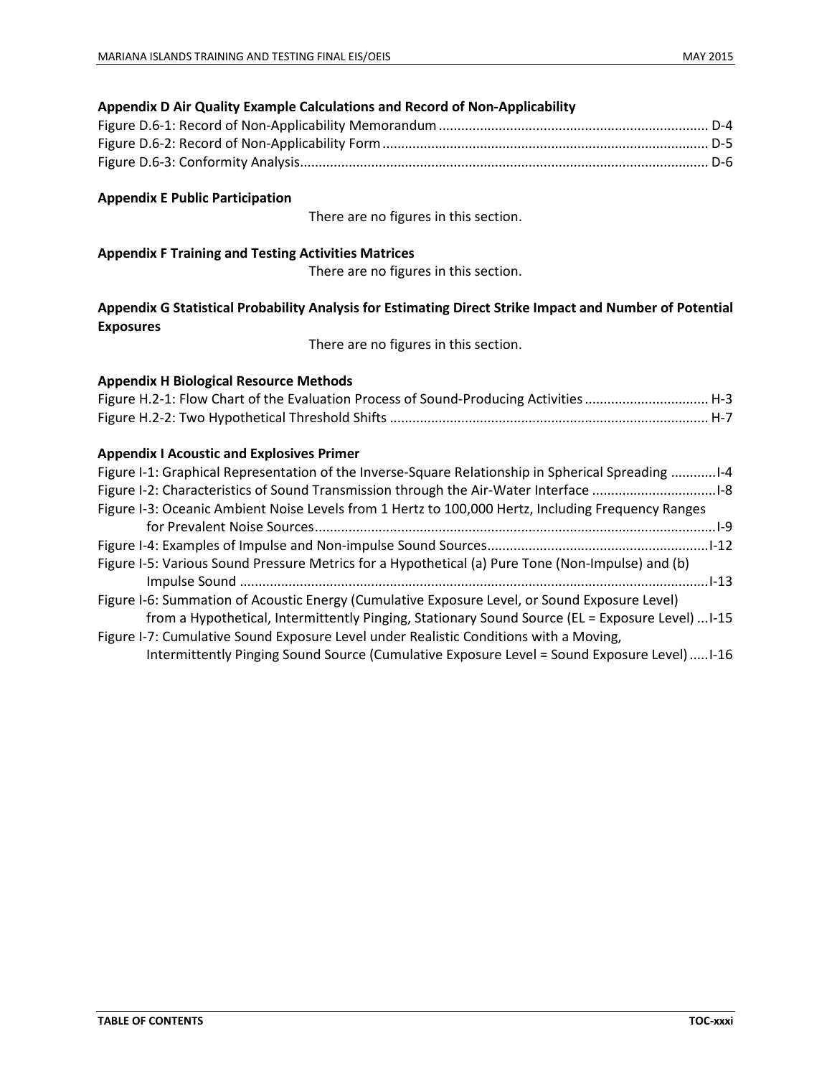| Appendix D Air Quality Example Calculations and Record of Non-Applicability                                                                                                                                                                                                                       |
|---------------------------------------------------------------------------------------------------------------------------------------------------------------------------------------------------------------------------------------------------------------------------------------------------|
|                                                                                                                                                                                                                                                                                                   |
|                                                                                                                                                                                                                                                                                                   |
|                                                                                                                                                                                                                                                                                                   |
| <b>Appendix E Public Participation</b>                                                                                                                                                                                                                                                            |
| There are no figures in this section.                                                                                                                                                                                                                                                             |
| <b>Appendix F Training and Testing Activities Matrices</b>                                                                                                                                                                                                                                        |
| There are no figures in this section.                                                                                                                                                                                                                                                             |
| Appendix G Statistical Probability Analysis for Estimating Direct Strike Impact and Number of Potential<br><b>Exposures</b>                                                                                                                                                                       |
| There are no figures in this section.                                                                                                                                                                                                                                                             |
| <b>Appendix H Biological Resource Methods</b><br>Figure H.2-1: Flow Chart of the Evaluation Process of Sound-Producing Activities  H-3                                                                                                                                                            |
| <b>Appendix I Acoustic and Explosives Primer</b>                                                                                                                                                                                                                                                  |
| Figure I-1: Graphical Representation of the Inverse-Square Relationship in Spherical Spreading 1-4<br>Figure I-2: Characteristics of Sound Transmission through the Air-Water Interface 1-8<br>Figure I-3: Oceanic Ambient Noise Levels from 1 Hertz to 100,000 Hertz, Including Frequency Ranges |
|                                                                                                                                                                                                                                                                                                   |
|                                                                                                                                                                                                                                                                                                   |
| Figure I-5: Various Sound Pressure Metrics for a Hypothetical (a) Pure Tone (Non-Impulse) and (b)                                                                                                                                                                                                 |
| Figure I-6: Summation of Acoustic Energy (Cumulative Exposure Level, or Sound Exposure Level)<br>from a Hypothetical, Intermittently Pinging, Stationary Sound Source (EL = Exposure Level)  I-15                                                                                                 |
| Figure I-7: Cumulative Sound Exposure Level under Realistic Conditions with a Moving,<br>Intermittently Pinging Sound Source (Cumulative Exposure Level = Sound Exposure Level)  I-16                                                                                                             |